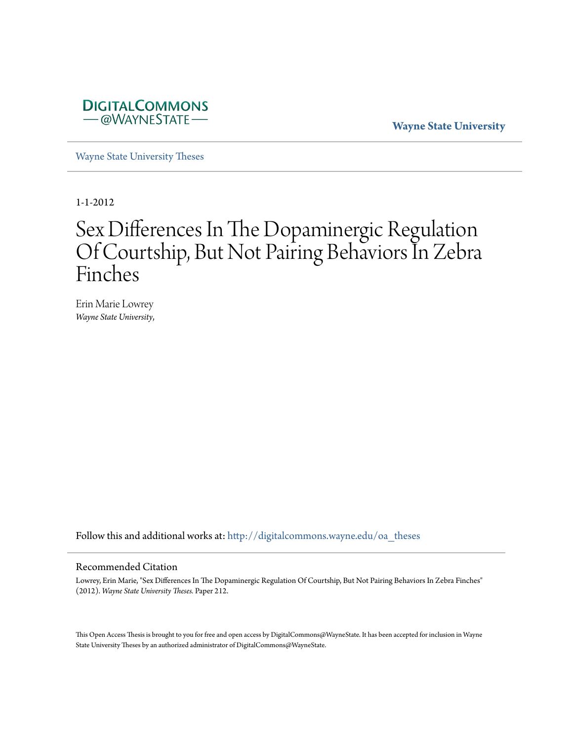

**Wayne State University**

[Wayne State University Theses](http://digitalcommons.wayne.edu/oa_theses?utm_source=digitalcommons.wayne.edu%2Foa_theses%2F212&utm_medium=PDF&utm_campaign=PDFCoverPages)

1-1-2012

# Sex Differences In The Dopaminergic Regulation Of Courtship, But Not Pairing Behaviors In Zebra Finches

Erin Marie Lowrey *Wayne State University*,

Follow this and additional works at: [http://digitalcommons.wayne.edu/oa\\_theses](http://digitalcommons.wayne.edu/oa_theses?utm_source=digitalcommons.wayne.edu%2Foa_theses%2F212&utm_medium=PDF&utm_campaign=PDFCoverPages)

#### Recommended Citation

Lowrey, Erin Marie, "Sex Differences In The Dopaminergic Regulation Of Courtship, But Not Pairing Behaviors In Zebra Finches" (2012). *Wayne State University Theses.* Paper 212.

This Open Access Thesis is brought to you for free and open access by DigitalCommons@WayneState. It has been accepted for inclusion in Wayne State University Theses by an authorized administrator of DigitalCommons@WayneState.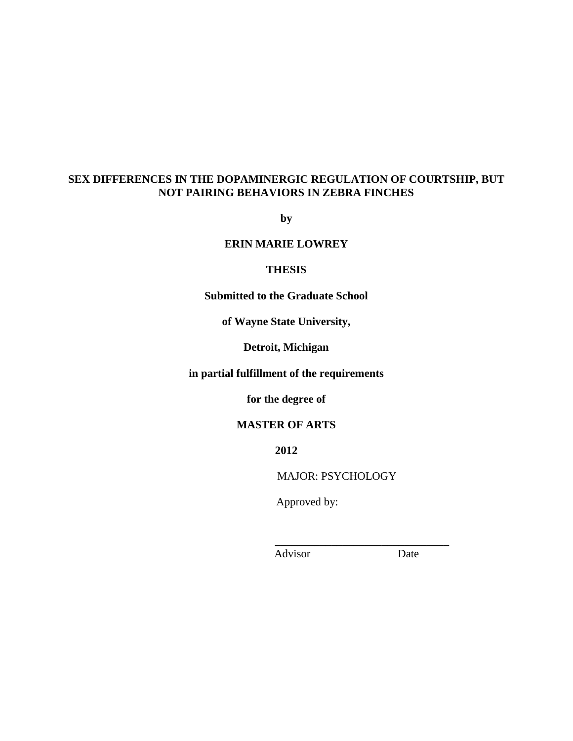# **SEX DIFFERENCES IN THE DOPAMINERGIC REGULATION OF COURTSHIP, BUT NOT PAIRING BEHAVIORS IN ZEBRA FINCHES**

**by**

# **ERIN MARIE LOWREY**

#### **THESIS**

**Submitted to the Graduate School**

**of Wayne State University,**

**Detroit, Michigan**

**in partial fulfillment of the requirements** 

**for the degree of**

## **MASTER OF ARTS**

**2012**

MAJOR: PSYCHOLOGY

 **\_\_\_\_\_\_\_\_\_\_\_\_\_\_\_\_\_\_\_\_\_\_\_\_\_\_\_\_\_\_\_**

Approved by:

Advisor Date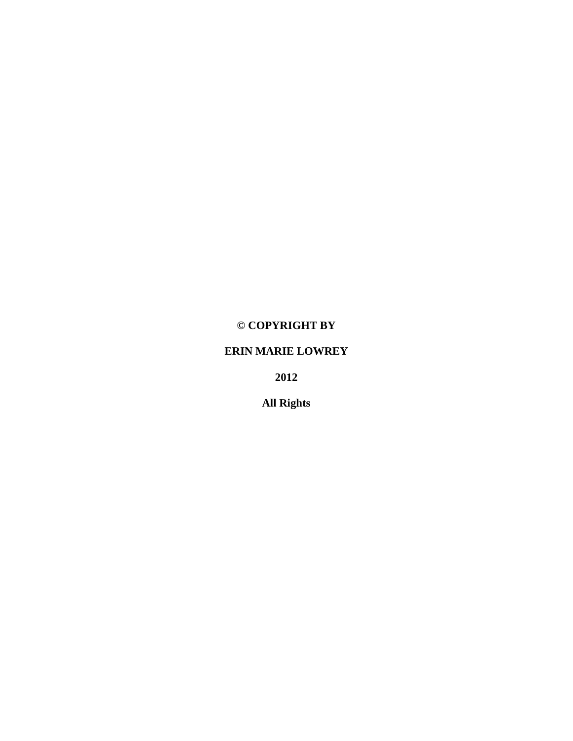# **© COPYRIGHT BY**

# **ERIN MARIE LOWREY**

**2012**

**All Rights**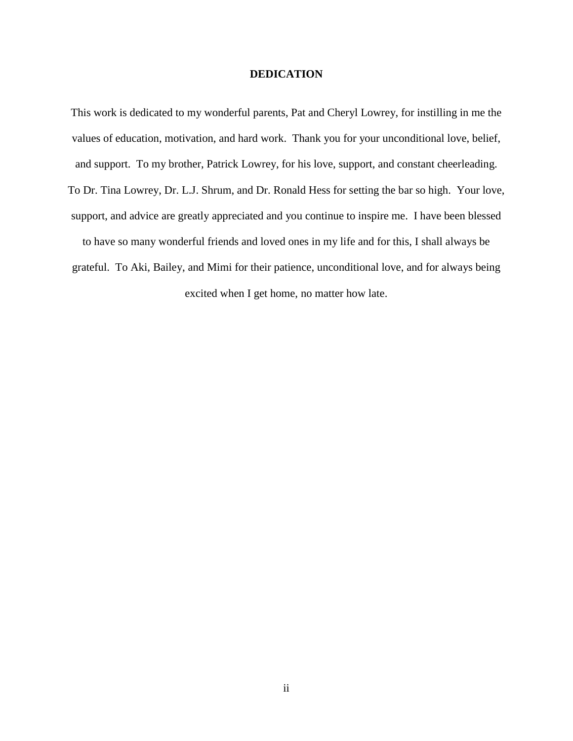#### **DEDICATION**

This work is dedicated to my wonderful parents, Pat and Cheryl Lowrey, for instilling in me the values of education, motivation, and hard work. Thank you for your unconditional love, belief, and support. To my brother, Patrick Lowrey, for his love, support, and constant cheerleading. To Dr. Tina Lowrey, Dr. L.J. Shrum, and Dr. Ronald Hess for setting the bar so high. Your love, support, and advice are greatly appreciated and you continue to inspire me. I have been blessed to have so many wonderful friends and loved ones in my life and for this, I shall always be grateful. To Aki, Bailey, and Mimi for their patience, unconditional love, and for always being excited when I get home, no matter how late.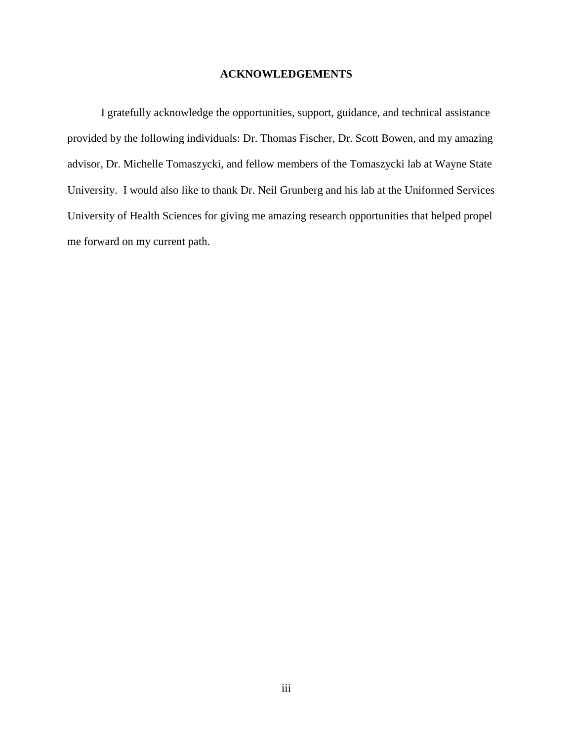### **ACKNOWLEDGEMENTS**

I gratefully acknowledge the opportunities, support, guidance, and technical assistance provided by the following individuals: Dr. Thomas Fischer, Dr. Scott Bowen, and my amazing advisor, Dr. Michelle Tomaszycki, and fellow members of the Tomaszycki lab at Wayne State University. I would also like to thank Dr. Neil Grunberg and his lab at the Uniformed Services University of Health Sciences for giving me amazing research opportunities that helped propel me forward on my current path.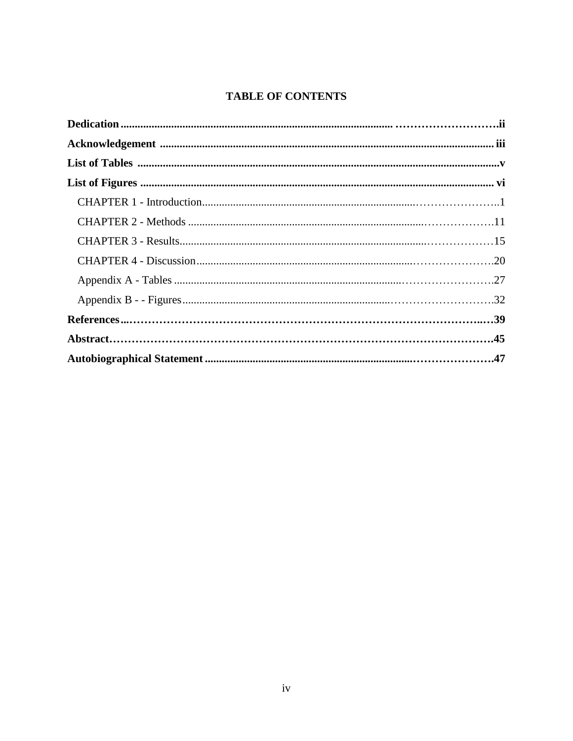# **TABLE OF CONTENTS**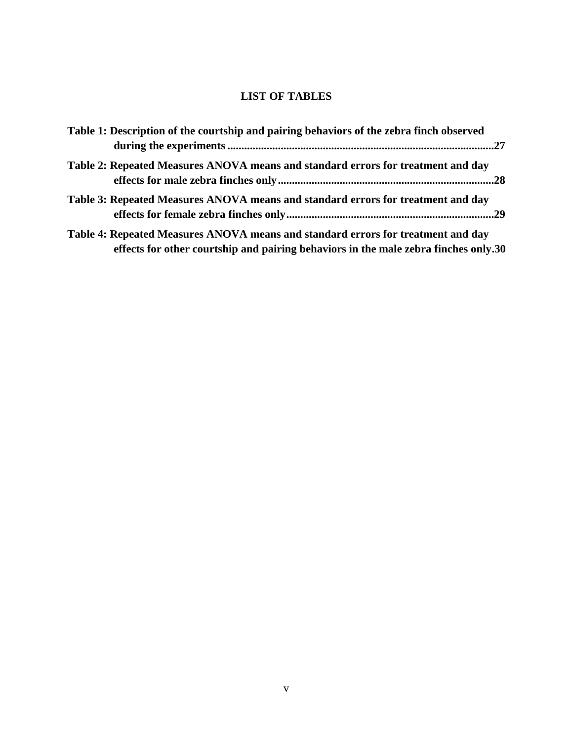# **LIST OF TABLES**

| Table 1: Description of the courtship and pairing behaviors of the zebra finch observed                                                                                 |  |
|-------------------------------------------------------------------------------------------------------------------------------------------------------------------------|--|
| Table 2: Repeated Measures ANOVA means and standard errors for treatment and day                                                                                        |  |
| Table 3: Repeated Measures ANOVA means and standard errors for treatment and day                                                                                        |  |
| Table 4: Repeated Measures ANOVA means and standard errors for treatment and day<br>effects for other courtship and pairing behaviors in the male zebra finches only.30 |  |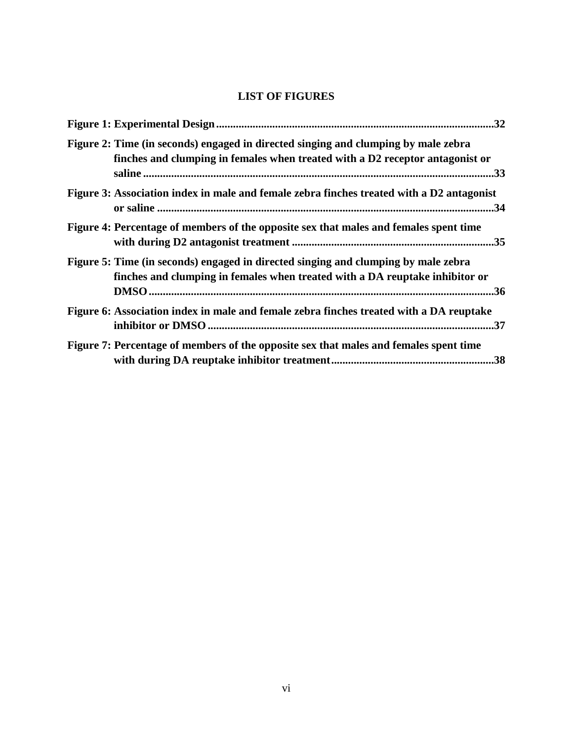# **LIST OF FIGURES**

| Figure 2: Time (in seconds) engaged in directed singing and clumping by male zebra<br>finches and clumping in females when treated with a D2 receptor antagonist or |
|---------------------------------------------------------------------------------------------------------------------------------------------------------------------|
| Figure 3: Association index in male and female zebra finches treated with a D2 antagonist                                                                           |
| Figure 4: Percentage of members of the opposite sex that males and females spent time                                                                               |
| Figure 5: Time (in seconds) engaged in directed singing and clumping by male zebra<br>finches and clumping in females when treated with a DA reuptake inhibitor or  |
| Figure 6: Association index in male and female zebra finches treated with a DA reuptake                                                                             |
| Figure 7: Percentage of members of the opposite sex that males and females spent time                                                                               |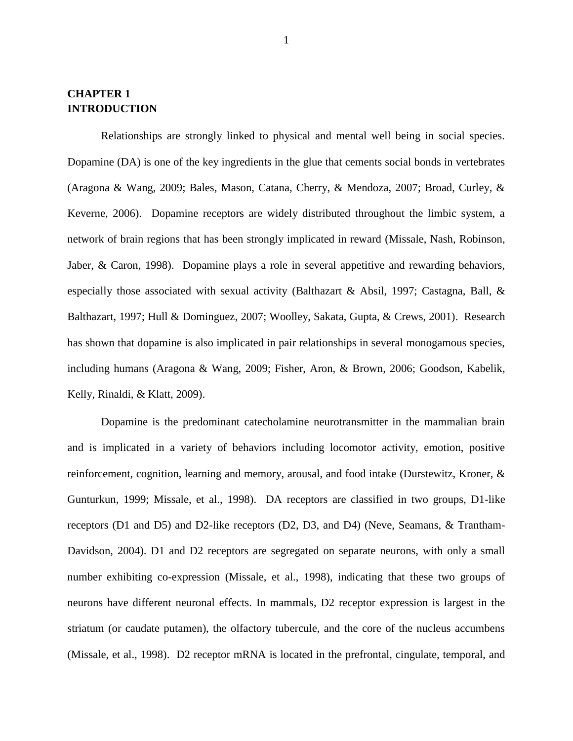# **CHAPTER 1 INTRODUCTION**

Relationships are strongly linked to physical and mental well being in social species. Dopamine (DA) is one of the key ingredients in the glue that cements social bonds in vertebrates (Aragona & Wang, 2009; Bales, Mason, Catana, Cherry, & Mendoza, 2007; Broad, Curley, & Keverne, 2006). Dopamine receptors are widely distributed throughout the limbic system, a network of brain regions that has been strongly implicated in reward (Missale, Nash, Robinson, Jaber, & Caron, 1998). Dopamine plays a role in several appetitive and rewarding behaviors, especially those associated with sexual activity (Balthazart & Absil, 1997; Castagna, Ball,  $\&$ Balthazart, 1997; Hull & Dominguez, 2007; Woolley, Sakata, Gupta, & Crews, 2001). Research has shown that dopamine is also implicated in pair relationships in several monogamous species, including humans (Aragona & Wang, 2009; Fisher, Aron, & Brown, 2006; Goodson, Kabelik, Kelly, Rinaldi, & Klatt, 2009).

Dopamine is the predominant catecholamine neurotransmitter in the mammalian brain and is implicated in a variety of behaviors including locomotor activity, emotion, positive reinforcement, cognition, learning and memory, arousal, and food intake (Durstewitz, Kroner, & Gunturkun, 1999; Missale, et al., 1998). DA receptors are classified in two groups, D1-like receptors (D1 and D5) and D2-like receptors (D2, D3, and D4) (Neve, Seamans, & Trantham-Davidson, 2004). D1 and D2 receptors are segregated on separate neurons, with only a small number exhibiting co-expression (Missale, et al., 1998), indicating that these two groups of neurons have different neuronal effects. In mammals, D2 receptor expression is largest in the striatum (or caudate putamen), the olfactory tubercule, and the core of the nucleus accumbens (Missale, et al., 1998). D2 receptor mRNA is located in the prefrontal, cingulate, temporal, and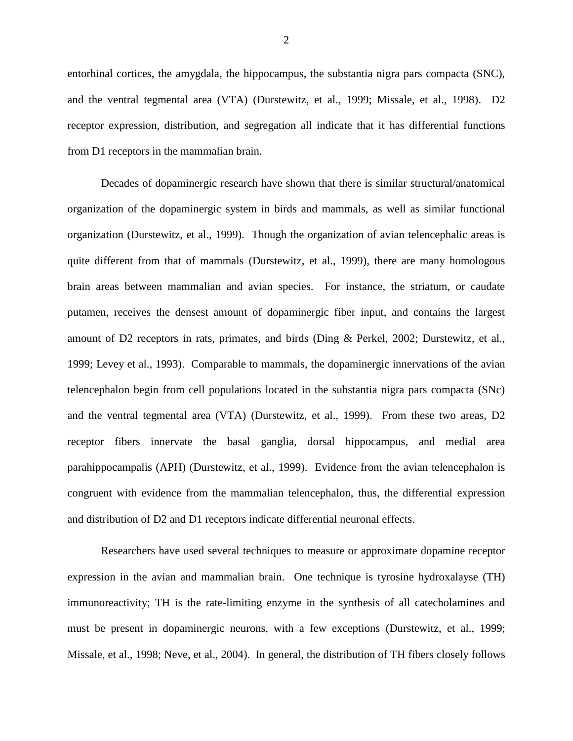entorhinal cortices, the amygdala, the hippocampus, the substantia nigra pars compacta (SNC), and the ventral tegmental area (VTA) (Durstewitz, et al., 1999; Missale, et al., 1998). D2 receptor expression, distribution, and segregation all indicate that it has differential functions from D1 receptors in the mammalian brain.

Decades of dopaminergic research have shown that there is similar structural/anatomical organization of the dopaminergic system in birds and mammals, as well as similar functional organization (Durstewitz, et al., 1999). Though the organization of avian telencephalic areas is quite different from that of mammals (Durstewitz, et al., 1999), there are many homologous brain areas between mammalian and avian species. For instance, the striatum, or caudate putamen, receives the densest amount of dopaminergic fiber input, and contains the largest amount of D2 receptors in rats, primates, and birds (Ding & Perkel, 2002; Durstewitz, et al., 1999; Levey et al., 1993). Comparable to mammals, the dopaminergic innervations of the avian telencephalon begin from cell populations located in the substantia nigra pars compacta (SNc) and the ventral tegmental area (VTA) (Durstewitz, et al., 1999). From these two areas, D2 receptor fibers innervate the basal ganglia, dorsal hippocampus, and medial area parahippocampalis (APH) (Durstewitz, et al., 1999). Evidence from the avian telencephalon is congruent with evidence from the mammalian telencephalon, thus, the differential expression and distribution of D2 and D1 receptors indicate differential neuronal effects.

Researchers have used several techniques to measure or approximate dopamine receptor expression in the avian and mammalian brain. One technique is tyrosine hydroxalayse (TH) immunoreactivity; TH is the rate-limiting enzyme in the synthesis of all catecholamines and must be present in dopaminergic neurons, with a few exceptions (Durstewitz, et al., 1999; Missale, et al., 1998; Neve, et al., 2004). In general, the distribution of TH fibers closely follows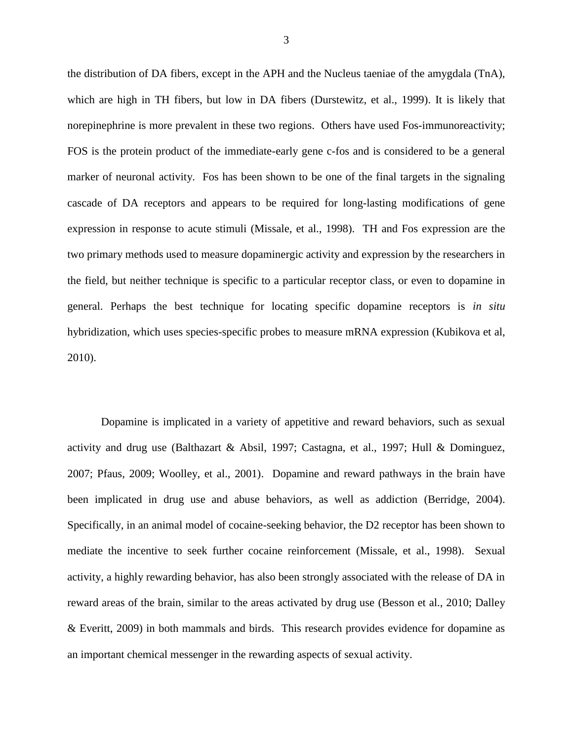the distribution of DA fibers, except in the APH and the Nucleus taeniae of the amygdala (TnA), which are high in TH fibers, but low in DA fibers (Durstewitz, et al., 1999). It is likely that norepinephrine is more prevalent in these two regions. Others have used Fos-immunoreactivity; FOS is the protein product of the immediate-early gene c-fos and is considered to be a general marker of neuronal activity. Fos has been shown to be one of the final targets in the signaling cascade of DA receptors and appears to be required for long-lasting modifications of gene expression in response to acute stimuli (Missale, et al., 1998). TH and Fos expression are the two primary methods used to measure dopaminergic activity and expression by the researchers in the field, but neither technique is specific to a particular receptor class, or even to dopamine in general. Perhaps the best technique for locating specific dopamine receptors is *in situ*  hybridization, which uses species-specific probes to measure mRNA expression (Kubikova et al, 2010).

Dopamine is implicated in a variety of appetitive and reward behaviors, such as sexual activity and drug use (Balthazart & Absil, 1997; Castagna, et al., 1997; Hull & Dominguez, 2007; Pfaus, 2009; Woolley, et al., 2001). Dopamine and reward pathways in the brain have been implicated in drug use and abuse behaviors, as well as addiction (Berridge, 2004). Specifically, in an animal model of cocaine-seeking behavior, the D2 receptor has been shown to mediate the incentive to seek further cocaine reinforcement (Missale, et al., 1998). Sexual activity, a highly rewarding behavior, has also been strongly associated with the release of DA in reward areas of the brain, similar to the areas activated by drug use (Besson et al., 2010; Dalley & Everitt, 2009) in both mammals and birds. This research provides evidence for dopamine as an important chemical messenger in the rewarding aspects of sexual activity.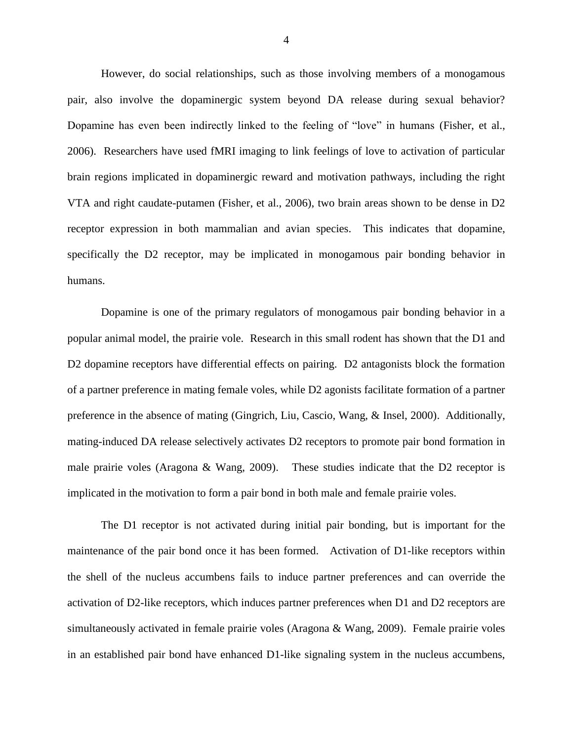However, do social relationships, such as those involving members of a monogamous pair, also involve the dopaminergic system beyond DA release during sexual behavior? Dopamine has even been indirectly linked to the feeling of "love" in humans (Fisher, et al., 2006). Researchers have used fMRI imaging to link feelings of love to activation of particular brain regions implicated in dopaminergic reward and motivation pathways, including the right VTA and right caudate-putamen (Fisher, et al., 2006), two brain areas shown to be dense in D2 receptor expression in both mammalian and avian species. This indicates that dopamine, specifically the D2 receptor, may be implicated in monogamous pair bonding behavior in humans.

Dopamine is one of the primary regulators of monogamous pair bonding behavior in a popular animal model, the prairie vole. Research in this small rodent has shown that the D1 and D2 dopamine receptors have differential effects on pairing. D2 antagonists block the formation of a partner preference in mating female voles, while D2 agonists facilitate formation of a partner preference in the absence of mating (Gingrich, Liu, Cascio, Wang, & Insel, 2000). Additionally, mating-induced DA release selectively activates D2 receptors to promote pair bond formation in male prairie voles (Aragona & Wang, 2009). These studies indicate that the D2 receptor is implicated in the motivation to form a pair bond in both male and female prairie voles.

The D1 receptor is not activated during initial pair bonding, but is important for the maintenance of the pair bond once it has been formed. Activation of D1-like receptors within the shell of the nucleus accumbens fails to induce partner preferences and can override the activation of D2-like receptors, which induces partner preferences when D1 and D2 receptors are simultaneously activated in female prairie voles (Aragona & Wang, 2009). Female prairie voles in an established pair bond have enhanced D1-like signaling system in the nucleus accumbens,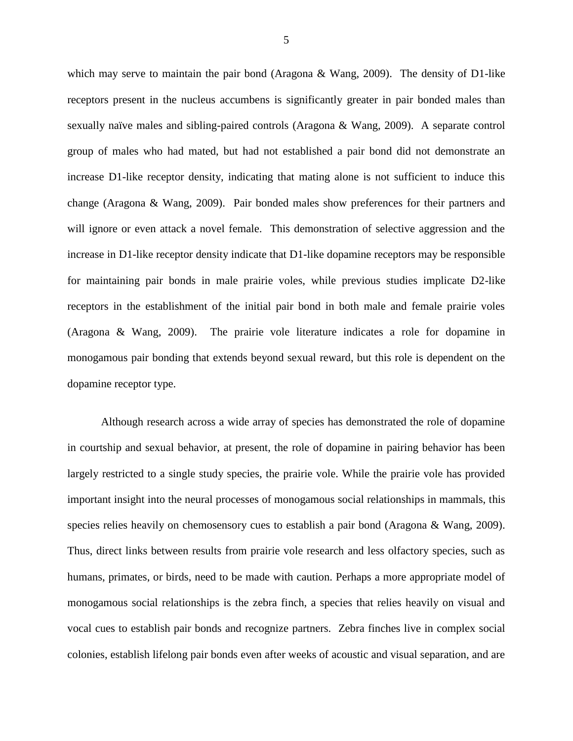which may serve to maintain the pair bond (Aragona & Wang, 2009). The density of D1-like receptors present in the nucleus accumbens is significantly greater in pair bonded males than sexually naïve males and sibling-paired controls (Aragona & Wang, 2009). A separate control group of males who had mated, but had not established a pair bond did not demonstrate an increase D1-like receptor density, indicating that mating alone is not sufficient to induce this change (Aragona & Wang, 2009). Pair bonded males show preferences for their partners and will ignore or even attack a novel female. This demonstration of selective aggression and the increase in D1-like receptor density indicate that D1-like dopamine receptors may be responsible for maintaining pair bonds in male prairie voles, while previous studies implicate D2-like receptors in the establishment of the initial pair bond in both male and female prairie voles (Aragona & Wang, 2009). The prairie vole literature indicates a role for dopamine in monogamous pair bonding that extends beyond sexual reward, but this role is dependent on the dopamine receptor type.

Although research across a wide array of species has demonstrated the role of dopamine in courtship and sexual behavior, at present, the role of dopamine in pairing behavior has been largely restricted to a single study species, the prairie vole. While the prairie vole has provided important insight into the neural processes of monogamous social relationships in mammals, this species relies heavily on chemosensory cues to establish a pair bond (Aragona & Wang, 2009). Thus, direct links between results from prairie vole research and less olfactory species, such as humans, primates, or birds, need to be made with caution. Perhaps a more appropriate model of monogamous social relationships is the zebra finch, a species that relies heavily on visual and vocal cues to establish pair bonds and recognize partners. Zebra finches live in complex social colonies, establish lifelong pair bonds even after weeks of acoustic and visual separation, and are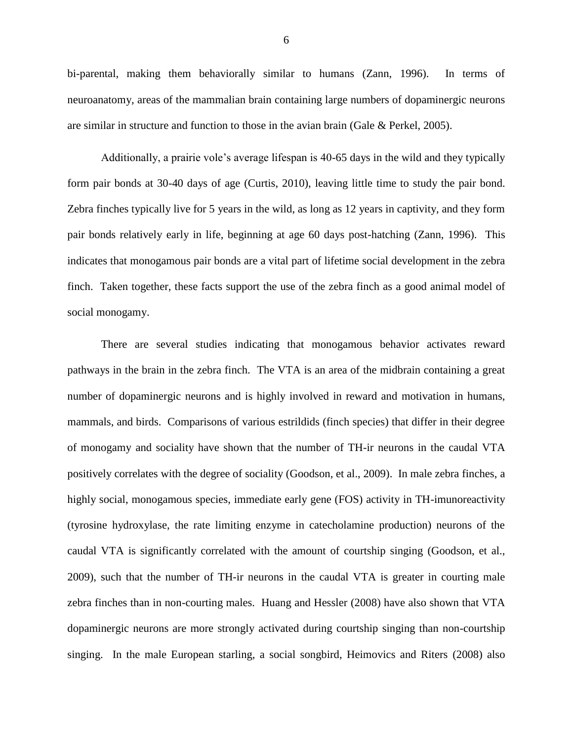bi-parental, making them behaviorally similar to humans (Zann, 1996). In terms of neuroanatomy, areas of the mammalian brain containing large numbers of dopaminergic neurons are similar in structure and function to those in the avian brain (Gale & Perkel, 2005).

Additionally, a prairie vole's average lifespan is 40-65 days in the wild and they typically form pair bonds at 30-40 days of age (Curtis, 2010), leaving little time to study the pair bond. Zebra finches typically live for 5 years in the wild, as long as 12 years in captivity, and they form pair bonds relatively early in life, beginning at age 60 days post-hatching (Zann, 1996). This indicates that monogamous pair bonds are a vital part of lifetime social development in the zebra finch. Taken together, these facts support the use of the zebra finch as a good animal model of social monogamy.

There are several studies indicating that monogamous behavior activates reward pathways in the brain in the zebra finch. The VTA is an area of the midbrain containing a great number of dopaminergic neurons and is highly involved in reward and motivation in humans, mammals, and birds. Comparisons of various estrildids (finch species) that differ in their degree of monogamy and sociality have shown that the number of TH-ir neurons in the caudal VTA positively correlates with the degree of sociality (Goodson, et al., 2009). In male zebra finches, a highly social, monogamous species, immediate early gene (FOS) activity in TH-imunoreactivity (tyrosine hydroxylase, the rate limiting enzyme in catecholamine production) neurons of the caudal VTA is significantly correlated with the amount of courtship singing (Goodson, et al., 2009), such that the number of TH-ir neurons in the caudal VTA is greater in courting male zebra finches than in non-courting males. Huang and Hessler (2008) have also shown that VTA dopaminergic neurons are more strongly activated during courtship singing than non-courtship singing. In the male European starling, a social songbird, Heimovics and Riters (2008) also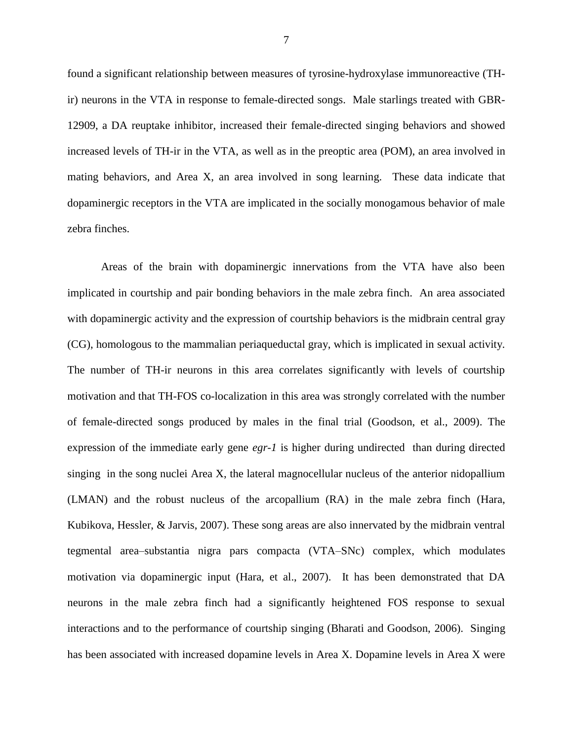found a significant relationship between measures of tyrosine-hydroxylase immunoreactive (THir) neurons in the VTA in response to female-directed songs. Male starlings treated with GBR-12909, a DA reuptake inhibitor, increased their female-directed singing behaviors and showed increased levels of TH-ir in the VTA, as well as in the preoptic area (POM), an area involved in mating behaviors, and Area X, an area involved in song learning. These data indicate that dopaminergic receptors in the VTA are implicated in the socially monogamous behavior of male zebra finches.

Areas of the brain with dopaminergic innervations from the VTA have also been implicated in courtship and pair bonding behaviors in the male zebra finch. An area associated with dopaminergic activity and the expression of courtship behaviors is the midbrain central gray (CG), homologous to the mammalian periaqueductal gray, which is implicated in sexual activity. The number of TH-ir neurons in this area correlates significantly with levels of courtship motivation and that TH-FOS co-localization in this area was strongly correlated with the number of female-directed songs produced by males in the final trial (Goodson, et al., 2009). The expression of the immediate early gene *egr-1* is higher during undirected than during directed singing in the song nuclei Area X, the lateral magnocellular nucleus of the anterior nidopallium (LMAN) and the robust nucleus of the arcopallium (RA) in the male zebra finch (Hara, Kubikova, Hessler, & Jarvis, 2007). These song areas are also innervated by the midbrain ventral tegmental area–substantia nigra pars compacta (VTA–SNc) complex, which modulates motivation via dopaminergic input (Hara, et al., 2007). It has been demonstrated that DA neurons in the male zebra finch had a significantly heightened FOS response to sexual interactions and to the performance of courtship singing (Bharati and Goodson, 2006). Singing has been associated with increased dopamine levels in Area X. Dopamine levels in Area X were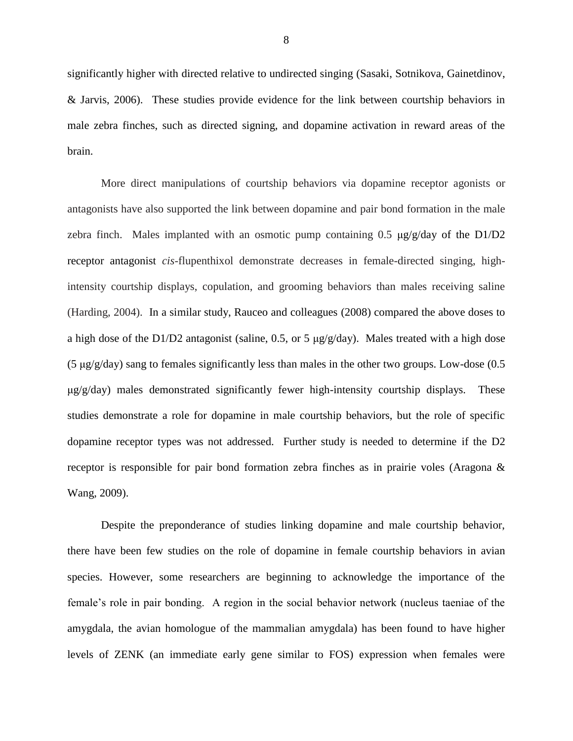significantly higher with directed relative to undirected singing (Sasaki, Sotnikova, Gainetdinov, & Jarvis, 2006). These studies provide evidence for the link between courtship behaviors in male zebra finches, such as directed signing, and dopamine activation in reward areas of the brain.

More direct manipulations of courtship behaviors via dopamine receptor agonists or antagonists have also supported the link between dopamine and pair bond formation in the male zebra finch. Males implanted with an osmotic pump containing 0.5  $\mu$ g/g/day of the D1/D2 receptor antagonist *cis*-flupenthixol demonstrate decreases in female-directed singing, highintensity courtship displays, copulation, and grooming behaviors than males receiving saline (Harding, 2004). In a similar study, Rauceo and colleagues (2008) compared the above doses to a high dose of the D1/D2 antagonist (saline, 0.5, or 5  $\mu$ g/g/day). Males treated with a high dose (5 μg/g/day) sang to females significantly less than males in the other two groups. Low-dose (0.5 μg/g/day) males demonstrated significantly fewer high-intensity courtship displays. These studies demonstrate a role for dopamine in male courtship behaviors, but the role of specific dopamine receptor types was not addressed. Further study is needed to determine if the D2 receptor is responsible for pair bond formation zebra finches as in prairie voles (Aragona & Wang, 2009).

Despite the preponderance of studies linking dopamine and male courtship behavior, there have been few studies on the role of dopamine in female courtship behaviors in avian species. However, some researchers are beginning to acknowledge the importance of the female's role in pair bonding. A region in the social behavior network (nucleus taeniae of the amygdala, the avian homologue of the mammalian amygdala) has been found to have higher levels of ZENK (an immediate early gene similar to FOS) expression when females were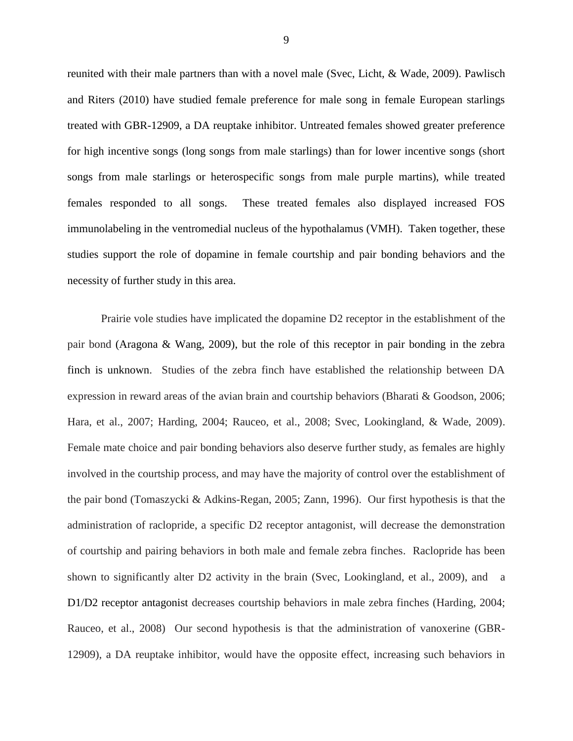reunited with their male partners than with a novel male (Svec, Licht, & Wade, 2009). Pawlisch and Riters (2010) have studied female preference for male song in female European starlings treated with GBR-12909, a DA reuptake inhibitor. Untreated females showed greater preference for high incentive songs (long songs from male starlings) than for lower incentive songs (short songs from male starlings or heterospecific songs from male purple martins), while treated females responded to all songs. These treated females also displayed increased FOS immunolabeling in the ventromedial nucleus of the hypothalamus (VMH). Taken together, these studies support the role of dopamine in female courtship and pair bonding behaviors and the necessity of further study in this area.

Prairie vole studies have implicated the dopamine D2 receptor in the establishment of the pair bond (Aragona & Wang, 2009), but the role of this receptor in pair bonding in the zebra finch is unknown. Studies of the zebra finch have established the relationship between DA expression in reward areas of the avian brain and courtship behaviors (Bharati & Goodson, 2006; Hara, et al., 2007; Harding, 2004; Rauceo, et al., 2008; Svec, Lookingland, & Wade, 2009). Female mate choice and pair bonding behaviors also deserve further study, as females are highly involved in the courtship process, and may have the majority of control over the establishment of the pair bond (Tomaszycki & Adkins-Regan, 2005; Zann, 1996). Our first hypothesis is that the administration of raclopride, a specific D2 receptor antagonist, will decrease the demonstration of courtship and pairing behaviors in both male and female zebra finches. Raclopride has been shown to significantly alter D2 activity in the brain (Svec, Lookingland, et al., 2009), and a D1/D2 receptor antagonist decreases courtship behaviors in male zebra finches (Harding, 2004; Rauceo, et al., 2008) Our second hypothesis is that the administration of vanoxerine (GBR-12909), a DA reuptake inhibitor, would have the opposite effect, increasing such behaviors in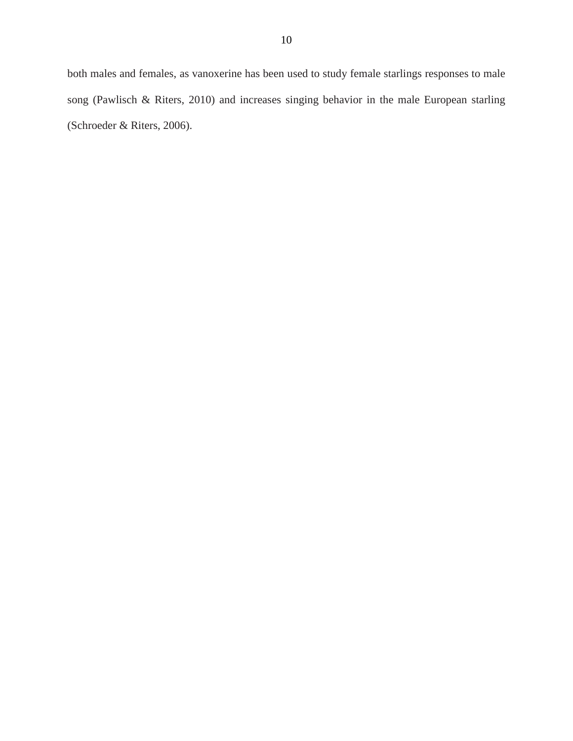both males and females, as vanoxerine has been used to study female starlings responses to male song (Pawlisch & Riters, 2010) and increases singing behavior in the male European starling (Schroeder & Riters, 2006).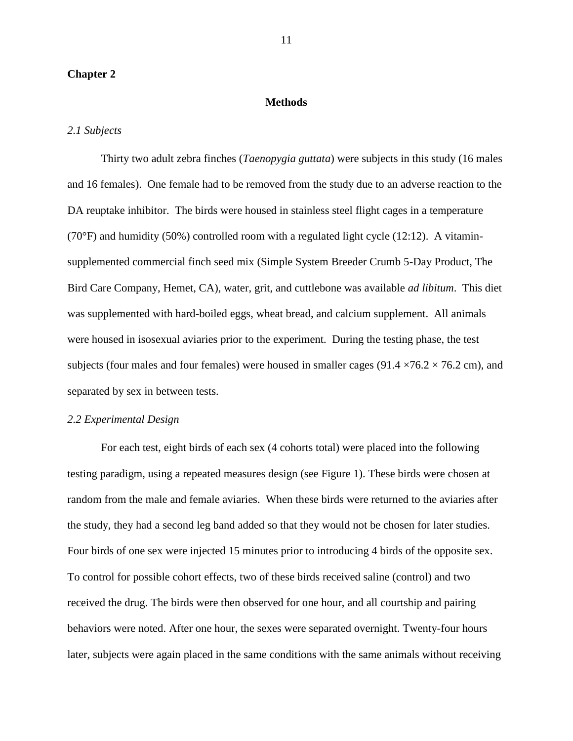#### **Chapter 2**

#### **Methods**

#### *2.1 Subjects*

Thirty two adult zebra finches (*Taenopygia guttata*) were subjects in this study (16 males and 16 females). One female had to be removed from the study due to an adverse reaction to the DA reuptake inhibitor. The birds were housed in stainless steel flight cages in a temperature  $(70^{\circ}F)$  and humidity (50%) controlled room with a regulated light cycle (12:12). A vitaminsupplemented commercial finch seed mix (Simple System Breeder Crumb 5-Day Product, The Bird Care Company, Hemet, CA), water, grit, and cuttlebone was available *ad libitum*. This diet was supplemented with hard-boiled eggs, wheat bread, and calcium supplement. All animals were housed in isosexual aviaries prior to the experiment. During the testing phase, the test subjects (four males and four females) were housed in smaller cages (91.4  $\times$ 76.2  $\times$  76.2 cm), and separated by sex in between tests.

#### *2.2 Experimental Design*

For each test, eight birds of each sex (4 cohorts total) were placed into the following testing paradigm, using a repeated measures design (see Figure 1). These birds were chosen at random from the male and female aviaries. When these birds were returned to the aviaries after the study, they had a second leg band added so that they would not be chosen for later studies. Four birds of one sex were injected 15 minutes prior to introducing 4 birds of the opposite sex. To control for possible cohort effects, two of these birds received saline (control) and two received the drug. The birds were then observed for one hour, and all courtship and pairing behaviors were noted. After one hour, the sexes were separated overnight. Twenty-four hours later, subjects were again placed in the same conditions with the same animals without receiving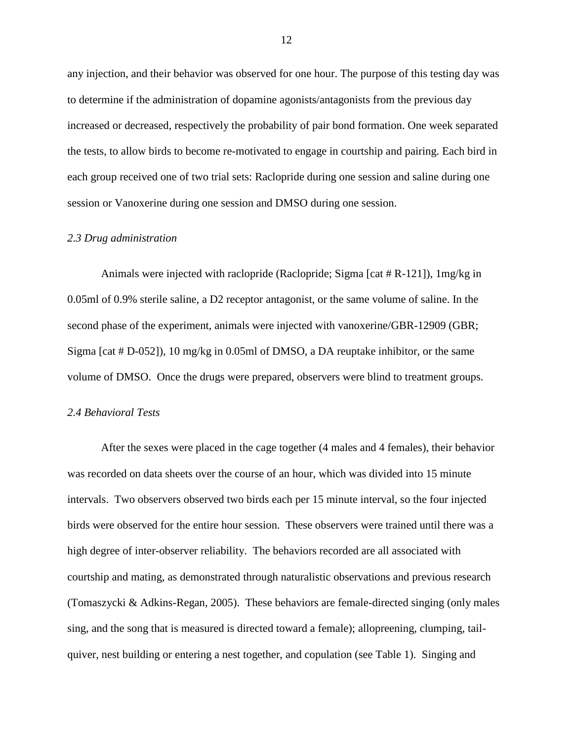any injection, and their behavior was observed for one hour. The purpose of this testing day was to determine if the administration of dopamine agonists/antagonists from the previous day increased or decreased, respectively the probability of pair bond formation. One week separated the tests, to allow birds to become re-motivated to engage in courtship and pairing. Each bird in each group received one of two trial sets: Raclopride during one session and saline during one session or Vanoxerine during one session and DMSO during one session.

#### *2.3 Drug administration*

Animals were injected with raclopride (Raclopride; Sigma [cat  $#R-121$ ]),  $1mg/kg$  in 0.05ml of 0.9% sterile saline, a D2 receptor antagonist, or the same volume of saline. In the second phase of the experiment, animals were injected with vanoxerine/GBR-12909 (GBR; Sigma [cat # D-052]), 10 mg/kg in 0.05ml of DMSO, a DA reuptake inhibitor, or the same volume of DMSO. Once the drugs were prepared, observers were blind to treatment groups.

#### *2.4 Behavioral Tests*

After the sexes were placed in the cage together (4 males and 4 females), their behavior was recorded on data sheets over the course of an hour, which was divided into 15 minute intervals. Two observers observed two birds each per 15 minute interval, so the four injected birds were observed for the entire hour session. These observers were trained until there was a high degree of inter-observer reliability. The behaviors recorded are all associated with courtship and mating, as demonstrated through naturalistic observations and previous research (Tomaszycki & Adkins-Regan, 2005). These behaviors are female-directed singing (only males sing, and the song that is measured is directed toward a female); allopreening, clumping, tailquiver, nest building or entering a nest together, and copulation (see Table 1). Singing and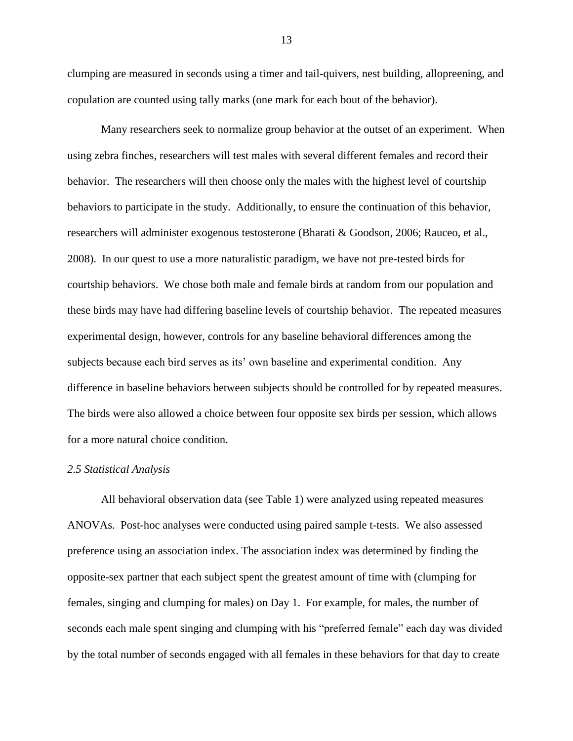clumping are measured in seconds using a timer and tail-quivers, nest building, allopreening, and copulation are counted using tally marks (one mark for each bout of the behavior).

Many researchers seek to normalize group behavior at the outset of an experiment. When using zebra finches, researchers will test males with several different females and record their behavior. The researchers will then choose only the males with the highest level of courtship behaviors to participate in the study. Additionally, to ensure the continuation of this behavior, researchers will administer exogenous testosterone (Bharati & Goodson, 2006; Rauceo, et al., 2008). In our quest to use a more naturalistic paradigm, we have not pre-tested birds for courtship behaviors. We chose both male and female birds at random from our population and these birds may have had differing baseline levels of courtship behavior. The repeated measures experimental design, however, controls for any baseline behavioral differences among the subjects because each bird serves as its' own baseline and experimental condition. Any difference in baseline behaviors between subjects should be controlled for by repeated measures. The birds were also allowed a choice between four opposite sex birds per session, which allows for a more natural choice condition.

#### *2.5 Statistical Analysis*

All behavioral observation data (see Table 1) were analyzed using repeated measures ANOVAs. Post-hoc analyses were conducted using paired sample t-tests. We also assessed preference using an association index. The association index was determined by finding the opposite-sex partner that each subject spent the greatest amount of time with (clumping for females, singing and clumping for males) on Day 1. For example, for males, the number of seconds each male spent singing and clumping with his "preferred female" each day was divided by the total number of seconds engaged with all females in these behaviors for that day to create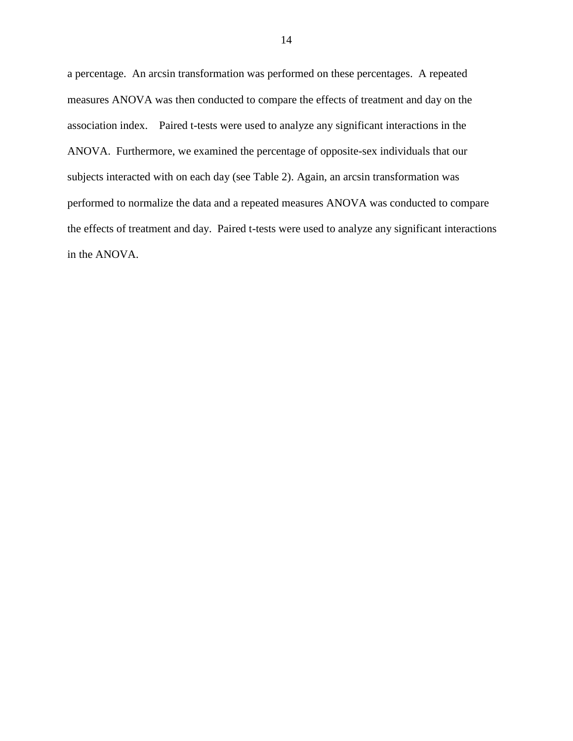a percentage. An arcsin transformation was performed on these percentages. A repeated measures ANOVA was then conducted to compare the effects of treatment and day on the association index. Paired t-tests were used to analyze any significant interactions in the ANOVA. Furthermore, we examined the percentage of opposite-sex individuals that our subjects interacted with on each day (see Table 2). Again, an arcsin transformation was performed to normalize the data and a repeated measures ANOVA was conducted to compare the effects of treatment and day. Paired t-tests were used to analyze any significant interactions in the ANOVA.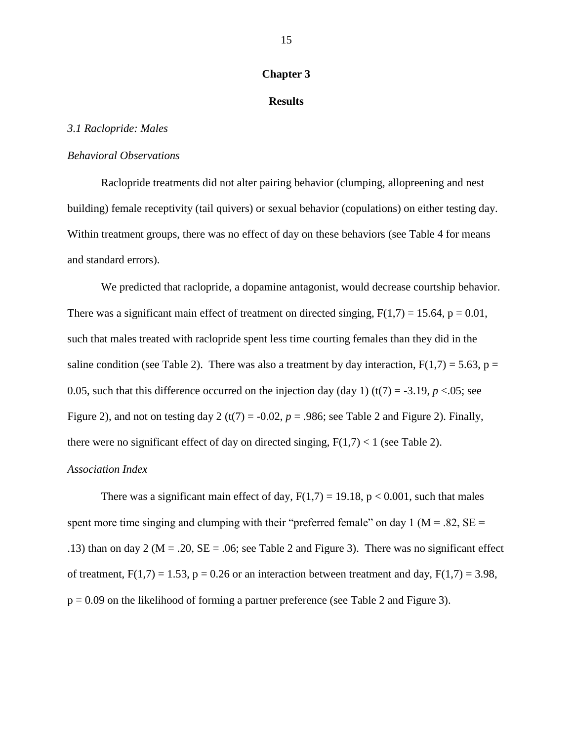#### **Chapter 3**

#### **Results**

#### *3.1 Raclopride: Males*

#### *Behavioral Observations*

Raclopride treatments did not alter pairing behavior (clumping, allopreening and nest building) female receptivity (tail quivers) or sexual behavior (copulations) on either testing day. Within treatment groups, there was no effect of day on these behaviors (see Table 4 for means and standard errors).

We predicted that raclopride, a dopamine antagonist, would decrease courtship behavior. There was a significant main effect of treatment on directed singing,  $F(1,7) = 15.64$ ,  $p = 0.01$ , such that males treated with raclopride spent less time courting females than they did in the saline condition (see Table 2). There was also a treatment by day interaction,  $F(1,7) = 5.63$ , p = 0.05, such that this difference occurred on the injection day (day 1) (t(7) = -3.19,  $p < 0.05$ ; see Figure 2), and not on testing day 2 (t(7) =  $-0.02$ ,  $p = .986$ ; see Table 2 and Figure 2). Finally, there were no significant effect of day on directed singing,  $F(1,7) < 1$  (see Table 2).

#### *Association Index*

There was a significant main effect of day,  $F(1,7) = 19.18$ ,  $p < 0.001$ , such that males spent more time singing and clumping with their "preferred female" on day 1 ( $M = .82$ ,  $SE =$ .13) than on day 2 ( $M = .20$ ,  $SE = .06$ ; see Table 2 and Figure 3). There was no significant effect of treatment,  $F(1,7) = 1.53$ ,  $p = 0.26$  or an interaction between treatment and day,  $F(1,7) = 3.98$ ,  $p = 0.09$  on the likelihood of forming a partner preference (see Table 2 and Figure 3).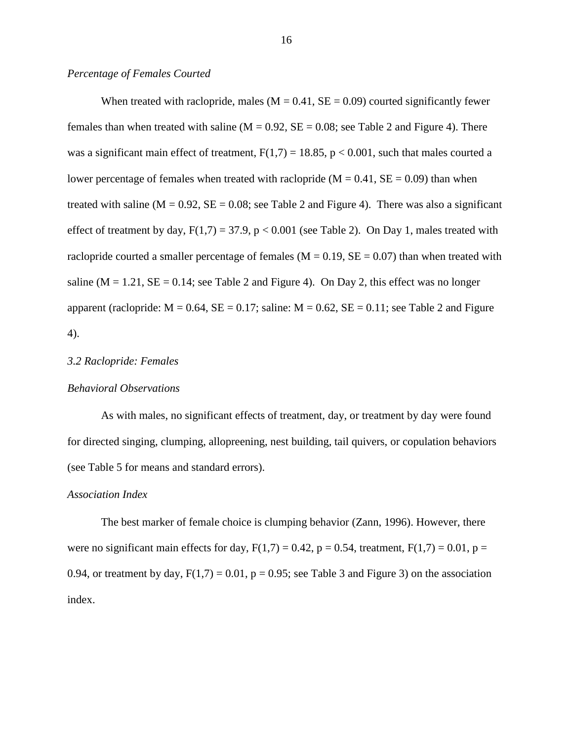#### *Percentage of Females Courted*

When treated with raclopride, males ( $M = 0.41$ ,  $SE = 0.09$ ) courted significantly fewer females than when treated with saline ( $M = 0.92$ ,  $SE = 0.08$ ; see Table 2 and Figure 4). There was a significant main effect of treatment,  $F(1,7) = 18.85$ ,  $p < 0.001$ , such that males courted a lower percentage of females when treated with raclopride ( $M = 0.41$ ,  $SE = 0.09$ ) than when treated with saline ( $M = 0.92$ ,  $SE = 0.08$ ; see Table 2 and Figure 4). There was also a significant effect of treatment by day,  $F(1,7) = 37.9$ ,  $p < 0.001$  (see Table 2). On Day 1, males treated with raclopride courted a smaller percentage of females ( $M = 0.19$ ,  $SE = 0.07$ ) than when treated with saline ( $M = 1.21$ ,  $SE = 0.14$ ; see Table 2 and Figure 4). On Day 2, this effect was no longer apparent (raclopride:  $M = 0.64$ ,  $SE = 0.17$ ; saline:  $M = 0.62$ ,  $SE = 0.11$ ; see Table 2 and Figure 4).

#### *3.2 Raclopride: Females*

#### *Behavioral Observations*

As with males, no significant effects of treatment, day, or treatment by day were found for directed singing, clumping, allopreening, nest building, tail quivers, or copulation behaviors (see Table 5 for means and standard errors).

#### *Association Index*

The best marker of female choice is clumping behavior (Zann, 1996). However, there were no significant main effects for day,  $F(1,7) = 0.42$ ,  $p = 0.54$ , treatment,  $F(1,7) = 0.01$ ,  $p =$ 0.94, or treatment by day,  $F(1,7) = 0.01$ ,  $p = 0.95$ ; see Table 3 and Figure 3) on the association index.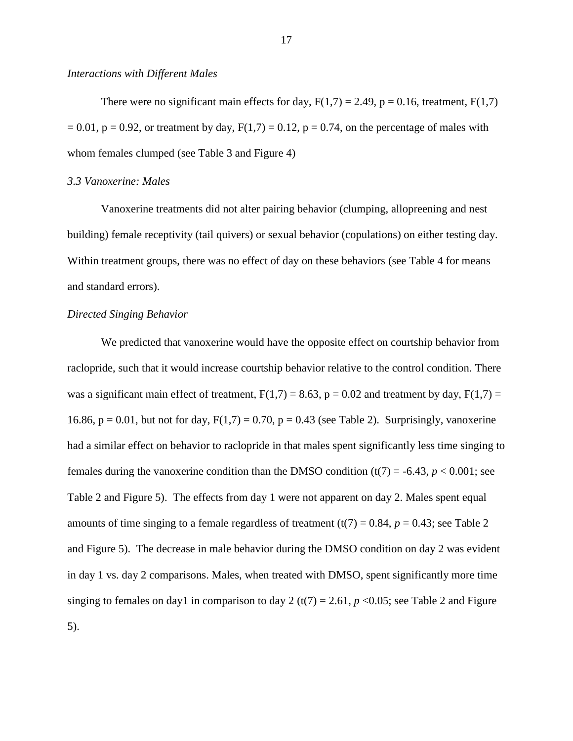#### *Interactions with Different Males*

There were no significant main effects for day,  $F(1,7) = 2.49$ ,  $p = 0.16$ , treatment,  $F(1,7)$  $= 0.01$ ,  $p = 0.92$ , or treatment by day,  $F(1,7) = 0.12$ ,  $p = 0.74$ , on the percentage of males with whom females clumped (see Table 3 and Figure 4)

## *3.3 Vanoxerine: Males*

Vanoxerine treatments did not alter pairing behavior (clumping, allopreening and nest building) female receptivity (tail quivers) or sexual behavior (copulations) on either testing day. Within treatment groups, there was no effect of day on these behaviors (see Table 4 for means and standard errors).

#### *Directed Singing Behavior*

We predicted that vanoxerine would have the opposite effect on courtship behavior from raclopride, such that it would increase courtship behavior relative to the control condition. There was a significant main effect of treatment,  $F(1,7) = 8.63$ ,  $p = 0.02$  and treatment by day,  $F(1,7) =$ 16.86,  $p = 0.01$ , but not for day,  $F(1,7) = 0.70$ ,  $p = 0.43$  (see Table 2). Surprisingly, vanoxerine had a similar effect on behavior to raclopride in that males spent significantly less time singing to females during the vanoxerine condition than the DMSO condition  $(t(7) = -6.43, p < 0.001$ ; see Table 2 and Figure 5). The effects from day 1 were not apparent on day 2. Males spent equal amounts of time singing to a female regardless of treatment  $(t(7) = 0.84, p = 0.43$ ; see Table 2 and Figure 5). The decrease in male behavior during the DMSO condition on day 2 was evident in day 1 vs. day 2 comparisons. Males, when treated with DMSO, spent significantly more time singing to females on day1 in comparison to day 2 (t(7) = 2.61,  $p < 0.05$ ; see Table 2 and Figure 5).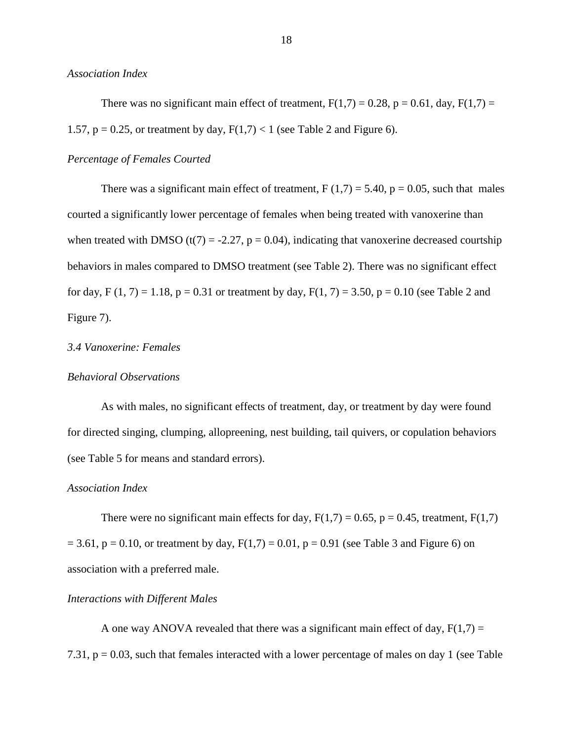*Association Index*

There was no significant main effect of treatment,  $F(1,7) = 0.28$ ,  $p = 0.61$ , day,  $F(1,7) = 0.28$ 1.57,  $p = 0.25$ , or treatment by day,  $F(1,7) < 1$  (see Table 2 and Figure 6).

#### *Percentage of Females Courted*

There was a significant main effect of treatment,  $F(1,7) = 5.40$ ,  $p = 0.05$ , such that males courted a significantly lower percentage of females when being treated with vanoxerine than when treated with DMSO (t(7) = -2.27,  $p = 0.04$ ), indicating that vanoxerine decreased courtship behaviors in males compared to DMSO treatment (see Table 2). There was no significant effect for day, F  $(1, 7) = 1.18$ , p = 0.31 or treatment by day, F $(1, 7) = 3.50$ , p = 0.10 (see Table 2 and Figure 7).

#### *3.4 Vanoxerine: Females*

#### *Behavioral Observations*

As with males, no significant effects of treatment, day, or treatment by day were found for directed singing, clumping, allopreening, nest building, tail quivers, or copulation behaviors (see Table 5 for means and standard errors).

#### *Association Index*

There were no significant main effects for day,  $F(1,7) = 0.65$ ,  $p = 0.45$ , treatment,  $F(1,7)$  $= 3.61$ ,  $p = 0.10$ , or treatment by day,  $F(1,7) = 0.01$ ,  $p = 0.91$  (see Table 3 and Figure 6) on association with a preferred male.

#### *Interactions with Different Males*

A one way ANOVA revealed that there was a significant main effect of day,  $F(1,7) =$ 7.31, p = 0.03, such that females interacted with a lower percentage of males on day 1 (see Table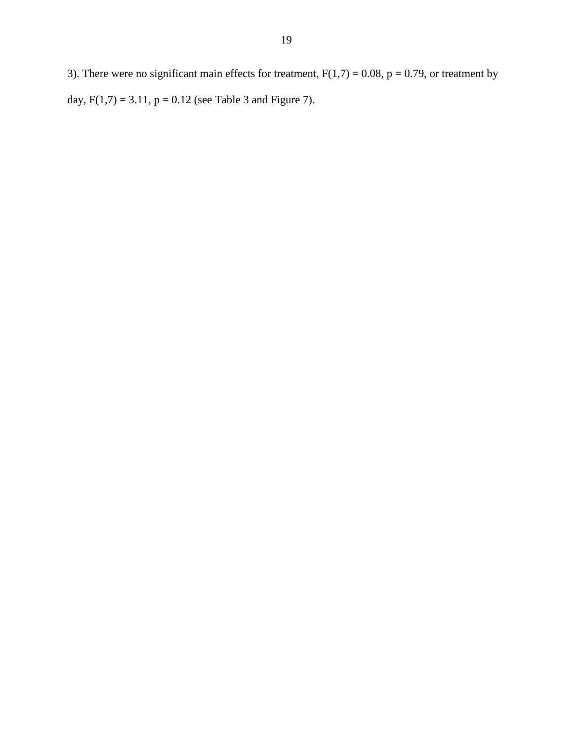3). There were no significant main effects for treatment,  $F(1,7) = 0.08$ ,  $p = 0.79$ , or treatment by day,  $F(1,7) = 3.11$ ,  $p = 0.12$  (see Table 3 and Figure 7).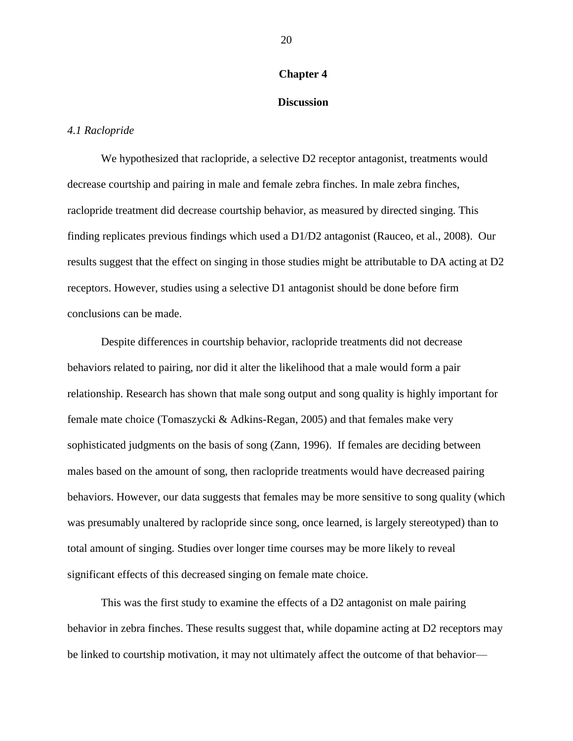#### **Chapter 4**

#### **Discussion**

#### *4.1 Raclopride*

We hypothesized that raclopride, a selective D2 receptor antagonist, treatments would decrease courtship and pairing in male and female zebra finches. In male zebra finches, raclopride treatment did decrease courtship behavior, as measured by directed singing. This finding replicates previous findings which used a D1/D2 antagonist (Rauceo, et al., 2008). Our results suggest that the effect on singing in those studies might be attributable to DA acting at D2 receptors. However, studies using a selective D1 antagonist should be done before firm conclusions can be made.

Despite differences in courtship behavior, raclopride treatments did not decrease behaviors related to pairing, nor did it alter the likelihood that a male would form a pair relationship. Research has shown that male song output and song quality is highly important for female mate choice (Tomaszycki & Adkins-Regan, 2005) and that females make very sophisticated judgments on the basis of song (Zann, 1996). If females are deciding between males based on the amount of song, then raclopride treatments would have decreased pairing behaviors. However, our data suggests that females may be more sensitive to song quality (which was presumably unaltered by raclopride since song, once learned, is largely stereotyped) than to total amount of singing. Studies over longer time courses may be more likely to reveal significant effects of this decreased singing on female mate choice.

This was the first study to examine the effects of a D2 antagonist on male pairing behavior in zebra finches. These results suggest that, while dopamine acting at D2 receptors may be linked to courtship motivation, it may not ultimately affect the outcome of that behavior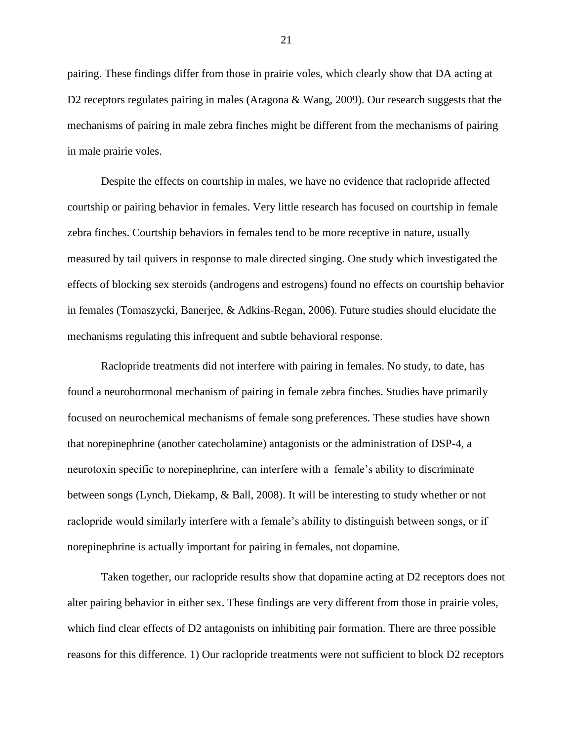pairing. These findings differ from those in prairie voles, which clearly show that DA acting at D2 receptors regulates pairing in males (Aragona & Wang, 2009). Our research suggests that the mechanisms of pairing in male zebra finches might be different from the mechanisms of pairing in male prairie voles.

Despite the effects on courtship in males, we have no evidence that raclopride affected courtship or pairing behavior in females. Very little research has focused on courtship in female zebra finches. Courtship behaviors in females tend to be more receptive in nature, usually measured by tail quivers in response to male directed singing. One study which investigated the effects of blocking sex steroids (androgens and estrogens) found no effects on courtship behavior in females (Tomaszycki, Banerjee, & Adkins-Regan, 2006). Future studies should elucidate the mechanisms regulating this infrequent and subtle behavioral response.

Raclopride treatments did not interfere with pairing in females. No study, to date, has found a neurohormonal mechanism of pairing in female zebra finches. Studies have primarily focused on neurochemical mechanisms of female song preferences. These studies have shown that norepinephrine (another catecholamine) antagonists or the administration of DSP-4, a neurotoxin specific to norepinephrine, can interfere with a female's ability to discriminate between songs (Lynch, Diekamp, & Ball, 2008). It will be interesting to study whether or not raclopride would similarly interfere with a female's ability to distinguish between songs, or if norepinephrine is actually important for pairing in females, not dopamine.

Taken together, our raclopride results show that dopamine acting at D2 receptors does not alter pairing behavior in either sex. These findings are very different from those in prairie voles, which find clear effects of D2 antagonists on inhibiting pair formation. There are three possible reasons for this difference. 1) Our raclopride treatments were not sufficient to block D2 receptors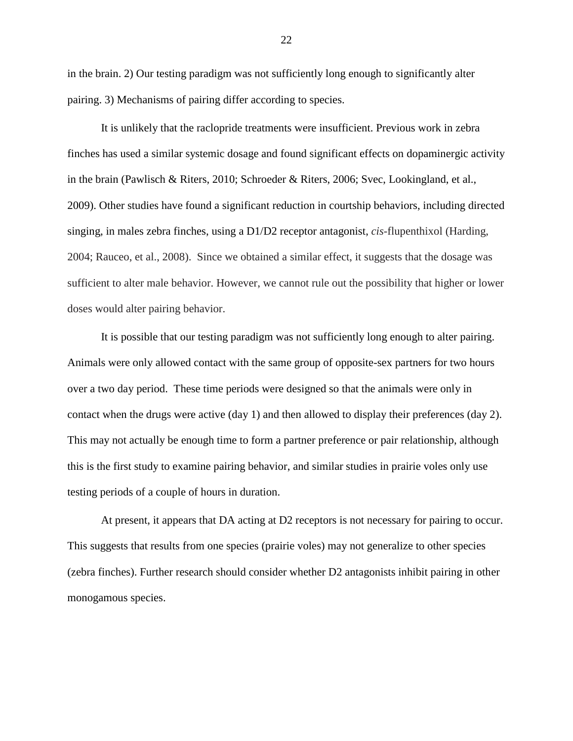in the brain. 2) Our testing paradigm was not sufficiently long enough to significantly alter pairing. 3) Mechanisms of pairing differ according to species.

It is unlikely that the raclopride treatments were insufficient. Previous work in zebra finches has used a similar systemic dosage and found significant effects on dopaminergic activity in the brain (Pawlisch & Riters, 2010; Schroeder & Riters, 2006; Svec, Lookingland, et al., 2009). Other studies have found a significant reduction in courtship behaviors, including directed singing, in males zebra finches, using a D1/D2 receptor antagonist, *cis*-flupenthixol (Harding, 2004; Rauceo, et al., 2008). Since we obtained a similar effect, it suggests that the dosage was sufficient to alter male behavior. However, we cannot rule out the possibility that higher or lower doses would alter pairing behavior.

It is possible that our testing paradigm was not sufficiently long enough to alter pairing. Animals were only allowed contact with the same group of opposite-sex partners for two hours over a two day period. These time periods were designed so that the animals were only in contact when the drugs were active (day 1) and then allowed to display their preferences (day 2). This may not actually be enough time to form a partner preference or pair relationship, although this is the first study to examine pairing behavior, and similar studies in prairie voles only use testing periods of a couple of hours in duration.

At present, it appears that DA acting at D2 receptors is not necessary for pairing to occur. This suggests that results from one species (prairie voles) may not generalize to other species (zebra finches). Further research should consider whether D2 antagonists inhibit pairing in other monogamous species.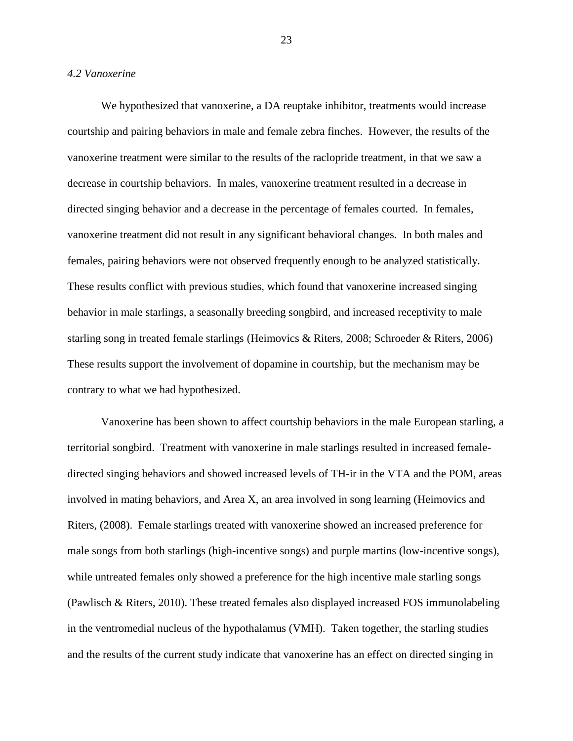#### *4.2 Vanoxerine*

We hypothesized that vanoxerine, a DA reuptake inhibitor, treatments would increase courtship and pairing behaviors in male and female zebra finches. However, the results of the vanoxerine treatment were similar to the results of the raclopride treatment, in that we saw a decrease in courtship behaviors. In males, vanoxerine treatment resulted in a decrease in directed singing behavior and a decrease in the percentage of females courted. In females, vanoxerine treatment did not result in any significant behavioral changes. In both males and females, pairing behaviors were not observed frequently enough to be analyzed statistically. These results conflict with previous studies, which found that vanoxerine increased singing behavior in male starlings, a seasonally breeding songbird, and increased receptivity to male starling song in treated female starlings (Heimovics & Riters, 2008; Schroeder & Riters, 2006) These results support the involvement of dopamine in courtship, but the mechanism may be contrary to what we had hypothesized.

Vanoxerine has been shown to affect courtship behaviors in the male European starling, a territorial songbird. Treatment with vanoxerine in male starlings resulted in increased femaledirected singing behaviors and showed increased levels of TH-ir in the VTA and the POM, areas involved in mating behaviors, and Area X, an area involved in song learning (Heimovics and Riters, (2008). Female starlings treated with vanoxerine showed an increased preference for male songs from both starlings (high-incentive songs) and purple martins (low-incentive songs), while untreated females only showed a preference for the high incentive male starling songs (Pawlisch & Riters, 2010). These treated females also displayed increased FOS immunolabeling in the ventromedial nucleus of the hypothalamus (VMH). Taken together, the starling studies and the results of the current study indicate that vanoxerine has an effect on directed singing in

23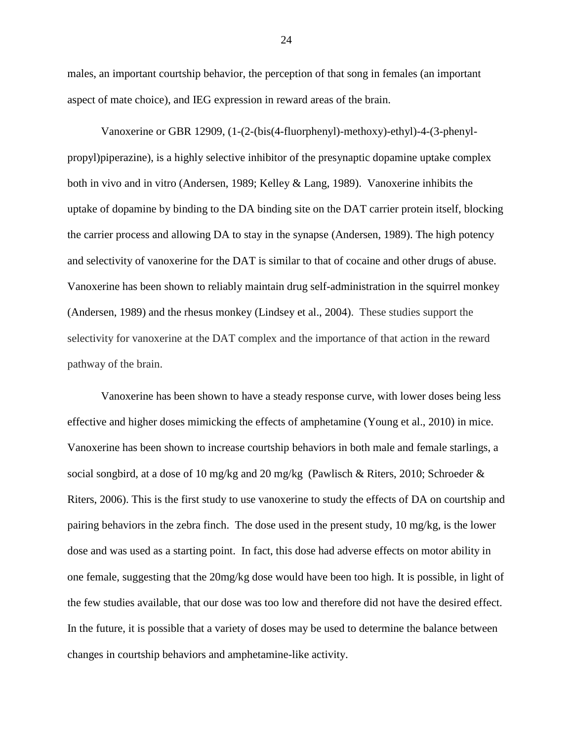males, an important courtship behavior, the perception of that song in females (an important aspect of mate choice), and IEG expression in reward areas of the brain.

Vanoxerine or GBR 12909, (1-(2-(bis(4-fluorphenyl)-methoxy)-ethyl)-4-(3-phenylpropyl)piperazine), is a highly selective inhibitor of the presynaptic dopamine uptake complex both in vivo and in vitro (Andersen, 1989; Kelley & Lang, 1989). Vanoxerine inhibits the uptake of dopamine by binding to the DA binding site on the DAT carrier protein itself, blocking the carrier process and allowing DA to stay in the synapse (Andersen, 1989). The high potency and selectivity of vanoxerine for the DAT is similar to that of cocaine and other drugs of abuse. Vanoxerine has been shown to reliably maintain drug self-administration in the squirrel monkey (Andersen, 1989) and the rhesus monkey (Lindsey et al., 2004). These studies support the selectivity for vanoxerine at the DAT complex and the importance of that action in the reward pathway of the brain.

Vanoxerine has been shown to have a steady response curve, with lower doses being less effective and higher doses mimicking the effects of amphetamine (Young et al., 2010) in mice. Vanoxerine has been shown to increase courtship behaviors in both male and female starlings, a social songbird, at a dose of 10 mg/kg and 20 mg/kg (Pawlisch & Riters, 2010; Schroeder & Riters, 2006). This is the first study to use vanoxerine to study the effects of DA on courtship and pairing behaviors in the zebra finch. The dose used in the present study, 10 mg/kg, is the lower dose and was used as a starting point. In fact, this dose had adverse effects on motor ability in one female, suggesting that the 20mg/kg dose would have been too high. It is possible, in light of the few studies available, that our dose was too low and therefore did not have the desired effect. In the future, it is possible that a variety of doses may be used to determine the balance between changes in courtship behaviors and amphetamine-like activity.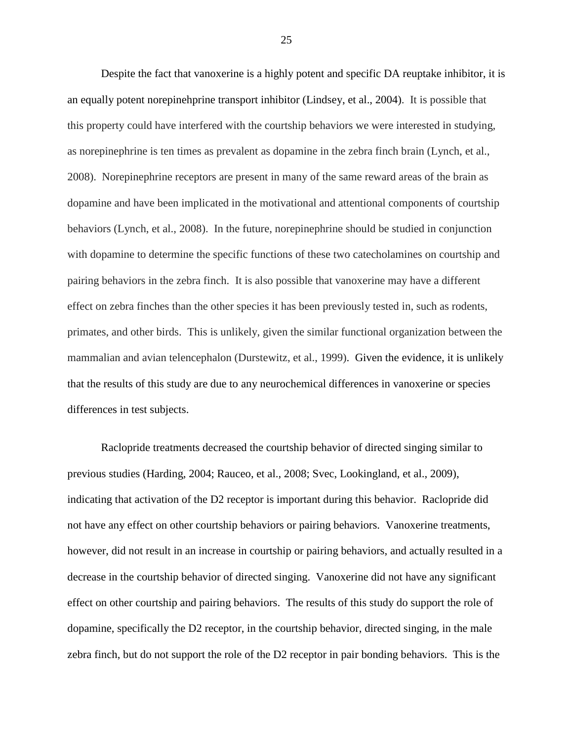Despite the fact that vanoxerine is a highly potent and specific DA reuptake inhibitor, it is an equally potent norepinehprine transport inhibitor (Lindsey, et al., 2004). It is possible that this property could have interfered with the courtship behaviors we were interested in studying, as norepinephrine is ten times as prevalent as dopamine in the zebra finch brain (Lynch, et al., 2008). Norepinephrine receptors are present in many of the same reward areas of the brain as dopamine and have been implicated in the motivational and attentional components of courtship behaviors (Lynch, et al., 2008). In the future, norepinephrine should be studied in conjunction with dopamine to determine the specific functions of these two catecholamines on courtship and pairing behaviors in the zebra finch. It is also possible that vanoxerine may have a different effect on zebra finches than the other species it has been previously tested in, such as rodents, primates, and other birds. This is unlikely, given the similar functional organization between the mammalian and avian telencephalon (Durstewitz, et al., 1999). Given the evidence, it is unlikely that the results of this study are due to any neurochemical differences in vanoxerine or species differences in test subjects.

Raclopride treatments decreased the courtship behavior of directed singing similar to previous studies (Harding, 2004; Rauceo, et al., 2008; Svec, Lookingland, et al., 2009), indicating that activation of the D2 receptor is important during this behavior. Raclopride did not have any effect on other courtship behaviors or pairing behaviors. Vanoxerine treatments, however, did not result in an increase in courtship or pairing behaviors, and actually resulted in a decrease in the courtship behavior of directed singing. Vanoxerine did not have any significant effect on other courtship and pairing behaviors. The results of this study do support the role of dopamine, specifically the D2 receptor, in the courtship behavior, directed singing, in the male zebra finch, but do not support the role of the D2 receptor in pair bonding behaviors. This is the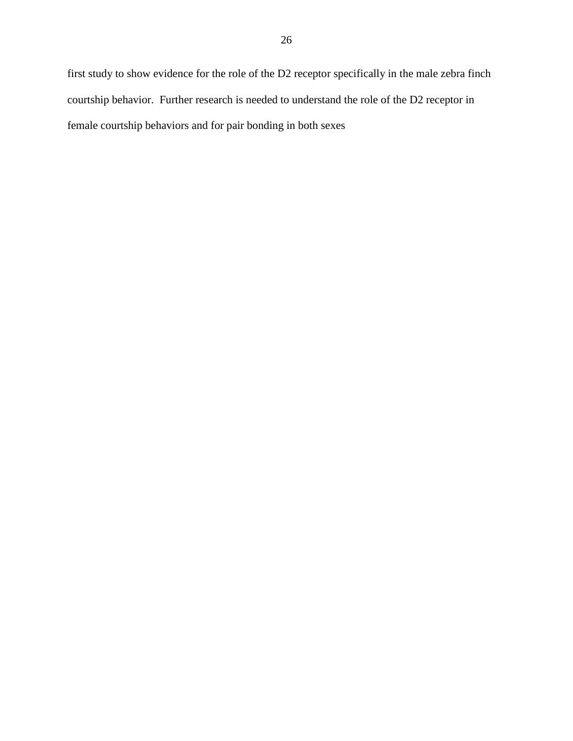first study to show evidence for the role of the D2 receptor specifically in the male zebra finch courtship behavior. Further research is needed to understand the role of the D2 receptor in female courtship behaviors and for pair bonding in both sexes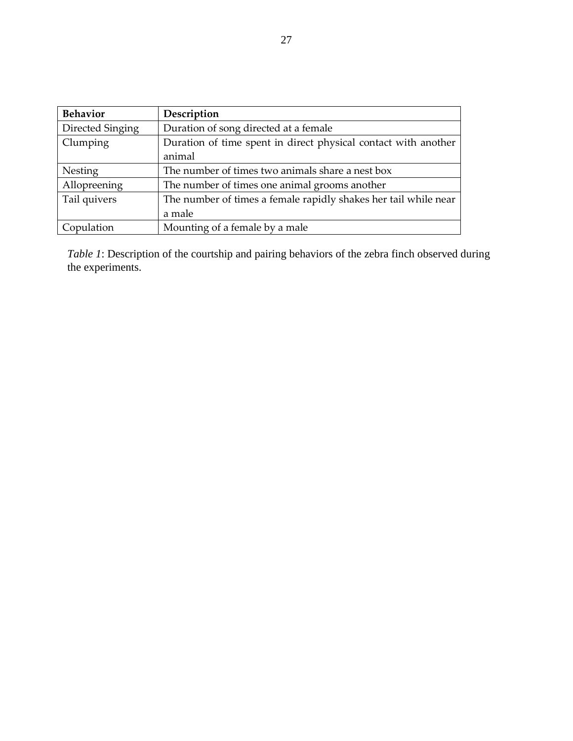| <b>Behavior</b>  | Description                                                     |
|------------------|-----------------------------------------------------------------|
| Directed Singing | Duration of song directed at a female                           |
| Clumping         | Duration of time spent in direct physical contact with another  |
|                  | animal                                                          |
| Nesting          | The number of times two animals share a nest box                |
| Allopreening     | The number of times one animal grooms another                   |
| Tail quivers     | The number of times a female rapidly shakes her tail while near |
|                  | a male                                                          |
| Copulation       | Mounting of a female by a male                                  |

*Table 1*: Description of the courtship and pairing behaviors of the zebra finch observed during the experiments.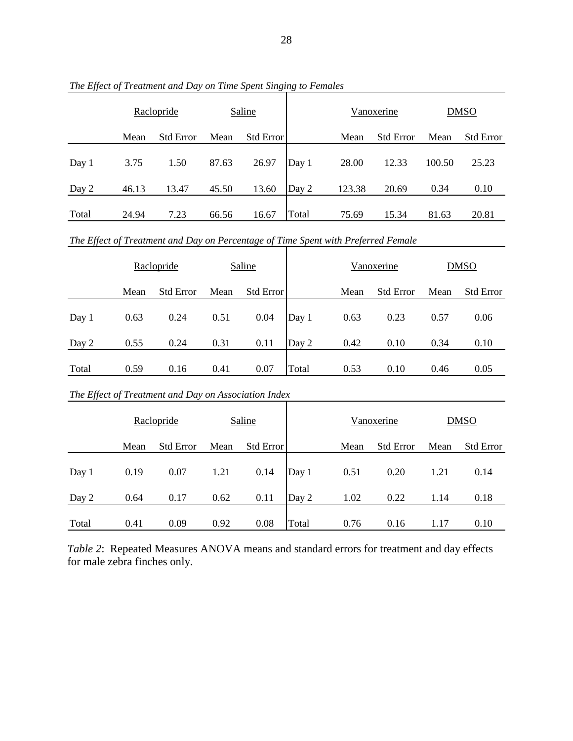|       |                                                                                   | Raclopride                                           | Saline        |                  |       |        | Vanoxerine        |             | <b>DMSO</b>      |  |  |  |
|-------|-----------------------------------------------------------------------------------|------------------------------------------------------|---------------|------------------|-------|--------|-------------------|-------------|------------------|--|--|--|
|       | Mean                                                                              | <b>Std Error</b>                                     | Mean          | <b>Std Error</b> |       | Mean   | <b>Std Error</b>  | Mean        | <b>Std Error</b> |  |  |  |
| Day 1 | 3.75                                                                              | 1.50                                                 | 87.63         | 26.97            | Day 1 | 28.00  | 12.33             | 100.50      | 25.23            |  |  |  |
| Day 2 | 46.13                                                                             | 13.47                                                | 45.50         | 13.60            | Day 2 | 123.38 | 20.69             | 0.34        | 0.10             |  |  |  |
| Total | 24.94                                                                             | 7.23                                                 | 66.56         | 16.67            | Total | 75.69  | 15.34             | 81.63       | 20.81            |  |  |  |
|       | The Effect of Treatment and Day on Percentage of Time Spent with Preferred Female |                                                      |               |                  |       |        |                   |             |                  |  |  |  |
|       | Raclopride                                                                        |                                                      | <b>Saline</b> |                  |       |        | <b>Vanoxerine</b> | <b>DMSO</b> |                  |  |  |  |
|       | Mean                                                                              | <b>Std Error</b>                                     | Mean          | Std Error        |       | Mean   | <b>Std Error</b>  | Mean        | <b>Std Error</b> |  |  |  |
| Day 1 | 0.63                                                                              | 0.24                                                 | 0.51          | 0.04             | Day 1 | 0.63   | 0.23              | 0.57        | 0.06             |  |  |  |
| Day 2 | 0.55                                                                              | 0.24                                                 | 0.31          | 0.11             | Day 2 | 0.42   | 0.10              | 0.34        | 0.10             |  |  |  |
| Total | 0.59                                                                              | 0.16                                                 | 0.41          | 0.07             | Total | 0.53   | 0.10              | 0.46        | 0.05             |  |  |  |
|       |                                                                                   | The Effect of Treatment and Day on Association Index |               |                  |       |        |                   |             |                  |  |  |  |
|       | Raclopride                                                                        |                                                      |               | <b>Saline</b>    |       |        | Vanoxerine        |             | <b>DMSO</b>      |  |  |  |
|       |                                                                                   |                                                      |               |                  |       |        |                   |             |                  |  |  |  |

*The Effect of Treatment and Day on Time Spent Singing to Females*

*Table 2*: Repeated Measures ANOVA means and standard errors for treatment and day effects for male zebra finches only.

Day 1 0.19 0.07 1.21 0.14 Day 1 0.51 0.20 1.21 0.14

Day 2 0.64 0.17 0.62 0.11 Day 2 1.02 0.22 1.14 0.18

Total 0.41 0.09 0.92 0.08 Total 0.76 0.16 1.17 0.10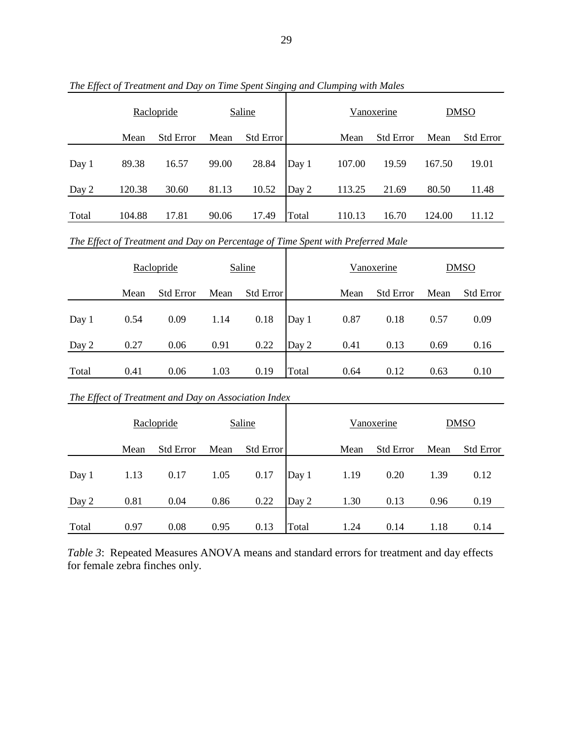|       | Raclopride |                  | <b>Saline</b> |           |       |        | Vanoxerine       |        | <b>DMSO</b>      |  |
|-------|------------|------------------|---------------|-----------|-------|--------|------------------|--------|------------------|--|
|       | Mean       | <b>Std Error</b> | Mean          | Std Error |       | Mean   | <b>Std Error</b> | Mean   | <b>Std Error</b> |  |
| Day 1 | 89.38      | 16.57            | 99.00         | 28.84     | Day 1 | 107.00 | 19.59            | 167.50 | 19.01            |  |
| Day 2 | 120.38     | 30.60            | 81.13         | 10.52     | Day 2 | 113.25 | 21.69            | 80.50  | 11.48            |  |
| Total | 104.88     | 17.81            | 90.06         | 17.49     | Total | 110.13 | 16.70            | 124.00 | 11.12            |  |

*The Effect of Treatment and Day on Time Spent Singing and Clumping with Males*

*The Effect of Treatment and Day on Percentage of Time Spent with Preferred Male*

|       |      | Raclopride                                           |        | Saline           |       |      | Vanoxerine       |      | <b>DMSO</b>      |  |
|-------|------|------------------------------------------------------|--------|------------------|-------|------|------------------|------|------------------|--|
|       | Mean | <b>Std Error</b>                                     | Mean   | <b>Std Error</b> |       | Mean | <b>Std Error</b> | Mean | <b>Std Error</b> |  |
| Day 1 | 0.54 | 0.09                                                 | 1.14   | 0.18             | Day 1 | 0.87 | 0.18             | 0.57 | 0.09             |  |
| Day 2 | 0.27 | 0.06                                                 | 0.91   | 0.22             | Day 2 | 0.41 | 0.13             | 0.69 | 0.16             |  |
| Total | 0.41 | 0.06                                                 | 1.03   | 0.19             | Total | 0.64 | 0.12             | 0.63 | 0.10             |  |
|       |      | The Effect of Treatment and Day on Association Index |        |                  |       |      |                  |      |                  |  |
|       |      | Raclopride                                           | Saline |                  |       |      | Vanoxerine       |      | <b>DMSO</b>      |  |
|       | Mean | <b>Std Error</b>                                     | Mean   | <b>Std Error</b> |       | Mean | <b>Std Error</b> | Mean | <b>Std Error</b> |  |
| Day 1 | 1.13 | 0.17                                                 | 1.05   | 0.17             | Day 1 | 1.19 | 0.20             | 1.39 | 0.12             |  |
| Day 2 | 0.81 | 0.04                                                 | 0.86   | 0.22             | Day 2 | 1.30 | 0.13             | 0.96 | 0.19             |  |
| Total | 0.97 | 0.08                                                 | 0.95   | 0.13             | Total | 1.24 | 0.14             | 1.18 | 0.14             |  |

*Table 3*: Repeated Measures ANOVA means and standard errors for treatment and day effects for female zebra finches only.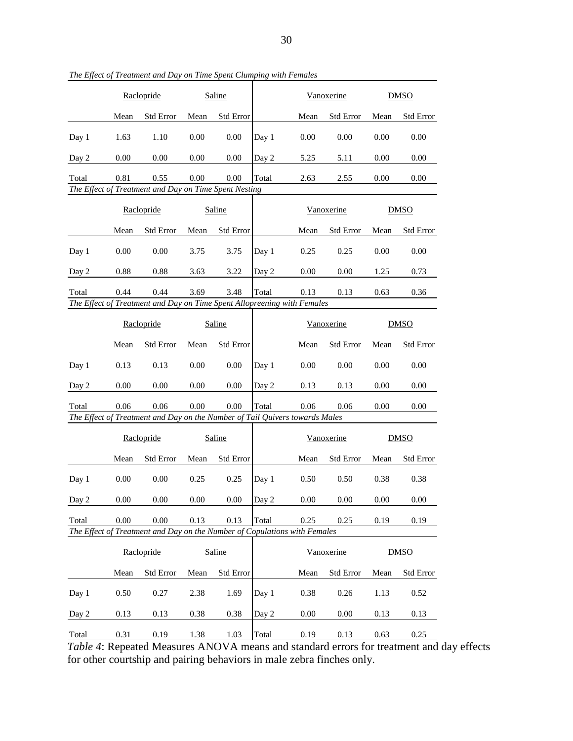|       | Raclopride |                                                       | Saline |           |       |      | Vanoxerine       |      | <b>DMSO</b>      |  |
|-------|------------|-------------------------------------------------------|--------|-----------|-------|------|------------------|------|------------------|--|
|       | Mean       | <b>Std Error</b>                                      | Mean   | Std Error |       | Mean | <b>Std Error</b> | Mean | <b>Std Error</b> |  |
| Day 1 | 1.63       | 1.10                                                  | 0.00   | 0.00      | Day 1 | 0.00 | 0.00             | 0.00 | 0.00             |  |
| Day 2 | 0.00       | 0.00                                                  | 0.00   | 0.00      | Day 2 | 5.25 | 5.11             | 0.00 | 0.00             |  |
| Total | 0.81       | 0.55                                                  | 0.00   | 0.00      | Total | 2.63 | 2.55             | 0.00 | 0.00             |  |
|       |            | The Effect of Treatment and Day on Time Spent Nesting |        |           |       |      |                  |      |                  |  |

*The Effect of Treatment and Day on Time Spent Clumping with Females*

|       | Raclopride |                                                                         | Saline |                  |       |      | Vanoxerine       | <b>DMSO</b> |                  |
|-------|------------|-------------------------------------------------------------------------|--------|------------------|-------|------|------------------|-------------|------------------|
|       | Mean       | <b>Std Error</b>                                                        | Mean   | <b>Std Error</b> |       | Mean | <b>Std Error</b> | Mean        | <b>Std Error</b> |
| Day 1 | 0.00       | 0.00                                                                    | 3.75   | 3.75             | Day 1 | 0.25 | 0.25             | 0.00        | 0.00             |
| Day 2 | 0.88       | 0.88                                                                    | 3.63   | 3.22             | Day 2 | 0.00 | 0.00             | 1.25        | 0.73             |
| Total | 0.44       | 0.44                                                                    | 3.69   | 3.48             | Total | 0.13 | 0.13             | 0.63        | 0.36             |
|       |            | The Effect of Treatment and Day on Time Spent Allopreening with Females |        |                  |       |      |                  |             |                  |

|       | Raclopride |                                                                             | Saline |                  |       |      | Vanoxerine       | <b>DMSO</b> |                  |
|-------|------------|-----------------------------------------------------------------------------|--------|------------------|-------|------|------------------|-------------|------------------|
|       | Mean       | <b>Std Error</b>                                                            | Mean   | <b>Std Error</b> |       | Mean | <b>Std Error</b> | Mean        | <b>Std Error</b> |
| Day 1 | 0.13       | 0.13                                                                        | 0.00   | 0.00             | Day 1 | 0.00 | 0.00             | 0.00        | 0.00             |
| Day 2 | 0.00       | 0.00                                                                        | 0.00   | 0.00             | Day 2 | 0.13 | 0.13             | 0.00        | 0.00             |
| Total | 0.06       | 0.06                                                                        | 0.00   | 0.00             | Total | 0.06 | 0.06             | 0.00        | 0.00             |
|       |            | The Effect of Treatment and Day on the Number of Tail Quivers towards Males |        |                  |       |      |                  |             |                  |

т

|       | Raclopride |                                                                           | Saline |                  |       |      | Vanoxerine       | <b>DMSO</b> |                  |
|-------|------------|---------------------------------------------------------------------------|--------|------------------|-------|------|------------------|-------------|------------------|
|       | Mean       | <b>Std Error</b>                                                          | Mean   | <b>Std Error</b> |       | Mean | <b>Std Error</b> | Mean        | <b>Std Error</b> |
| Day 1 | 0.00       | 0.00                                                                      | 0.25   | 0.25             | Day 1 | 0.50 | 0.50             | 0.38        | 0.38             |
| Day 2 | 0.00       | 0.00                                                                      | 0.00   | 0.00             | Day 2 | 0.00 | 0.00             | 0.00        | 0.00             |
| Total | 0.00       | 0.00                                                                      | 0.13   | 0.13             | Total | 0.25 | 0.25             | 0.19        | 0.19             |
|       |            | The Effect of Treatment and Day on the Number of Copulations with Females |        |                  |       |      |                  |             |                  |

|       | Raclopride |                  | Saline |                  |       |      | Vanoxerine       |      | <b>DMSO</b>      |  |
|-------|------------|------------------|--------|------------------|-------|------|------------------|------|------------------|--|
|       | Mean       | <b>Std Error</b> | Mean   | <b>Std Error</b> |       | Mean | <b>Std Error</b> | Mean | <b>Std Error</b> |  |
| Day 1 | 0.50       | 0.27             | 2.38   | 1.69             | Day 1 | 0.38 | 0.26             | 1.13 | 0.52             |  |
| Day 2 | 0.13       | 0.13             | 0.38   | 0.38             | Day 2 | 0.00 | 0.00             | 0.13 | 0.13             |  |
| Total | 0.31       | 0.19             | 1.38   | 1.03             | Total | 0.19 | 0.13             | 0.63 | 0.25             |  |

*Table 4*: Repeated Measures ANOVA means and standard errors for treatment and day effects for other courtship and pairing behaviors in male zebra finches only.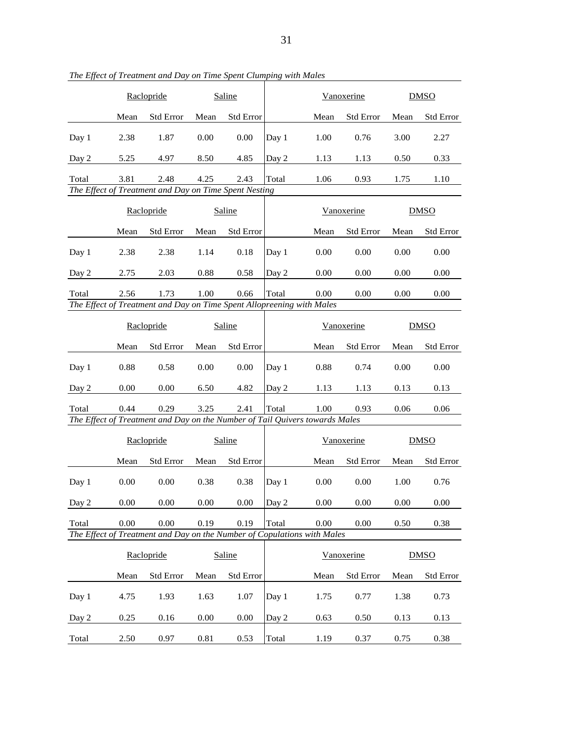|                                                                             | Raclopride                                                            |                                                               | Saline   |                  |       |          | Vanoxerine        |          | <b>DMSO</b>      |  |
|-----------------------------------------------------------------------------|-----------------------------------------------------------------------|---------------------------------------------------------------|----------|------------------|-------|----------|-------------------|----------|------------------|--|
|                                                                             | Mean                                                                  | <b>Std Error</b>                                              | Mean     | <b>Std Error</b> |       | Mean     | <b>Std Error</b>  | Mean     | <b>Std Error</b> |  |
| Day 1                                                                       | 2.38                                                                  | 1.87                                                          | 0.00     | 0.00             | Day 1 | 1.00     | 0.76              | 3.00     | 2.27             |  |
| Day 2                                                                       | 5.25                                                                  | 4.97                                                          | 8.50     | 4.85             | Day 2 | 1.13     | 1.13              | 0.50     | 0.33             |  |
| Total                                                                       | 3.81                                                                  | 2.48<br>The Effect of Treatment and Day on Time Spent Nesting | 4.25     | 2.43             | Total | 1.06     | 0.93              | 1.75     | 1.10             |  |
|                                                                             |                                                                       |                                                               |          |                  |       |          |                   |          |                  |  |
|                                                                             | Raclopride                                                            |                                                               | Saline   |                  |       |          | Vanoxerine        |          | <b>DMSO</b>      |  |
|                                                                             | Mean                                                                  | <b>Std Error</b>                                              | Mean     | Std Error        |       | Mean     | <b>Std Error</b>  | Mean     | <b>Std Error</b> |  |
| Day 1                                                                       | 2.38                                                                  | 2.38                                                          | 1.14     | 0.18             | Day 1 | 0.00     | 0.00              | 0.00     | 0.00             |  |
| Day 2                                                                       | 2.75                                                                  | 2.03                                                          | 0.88     | 0.58             | Day 2 | 0.00     | 0.00              | 0.00     | 0.00             |  |
| Total                                                                       | 2.56                                                                  | 1.73                                                          | 1.00     | 0.66             | Total | 0.00     | 0.00              | 0.00     | 0.00             |  |
|                                                                             | The Effect of Treatment and Day on Time Spent Allopreening with Males |                                                               |          |                  |       |          |                   |          |                  |  |
|                                                                             | Raclopride                                                            |                                                               | Saline   |                  |       |          | Vanoxerine        |          | <b>DMSO</b>      |  |
|                                                                             | Mean                                                                  | <b>Std Error</b>                                              | Mean     | <b>Std Error</b> |       | Mean     | <b>Std Error</b>  | Mean     | <b>Std Error</b> |  |
| Day 1                                                                       | 0.88                                                                  | 0.58                                                          | 0.00     | 0.00             | Day 1 | 0.88     | 0.74              | 0.00     | 0.00             |  |
| Day 2                                                                       | 0.00                                                                  | 0.00                                                          | 6.50     | 4.82             | Day 2 | 1.13     | 1.13              | 0.13     | 0.13             |  |
| Total                                                                       | 0.44                                                                  | 0.29                                                          | 3.25     | 2.41             | Total | 1.00     | 0.93              | 0.06     | 0.06             |  |
| The Effect of Treatment and Day on the Number of Tail Quivers towards Males |                                                                       |                                                               |          |                  |       |          |                   |          |                  |  |
|                                                                             | Raclopride                                                            |                                                               | Saline   |                  |       |          | <b>Vanoxerine</b> |          | <b>DMSO</b>      |  |
|                                                                             | Mean                                                                  | <b>Std Error</b>                                              | Mean     | <b>Std Error</b> |       | Mean     | <b>Std Error</b>  | Mean     | <b>Std Error</b> |  |
| Day 1                                                                       | 0.00                                                                  | 0.00                                                          | 0.38     | 0.38             | Day 1 | $0.00\,$ | 0.00              | 1.00     | 0.76             |  |
| Day 2                                                                       | 0.00                                                                  | $0.00\,$                                                      | $0.00\,$ | 0.00             | Day 2 | $0.00\,$ | $0.00\,$          | $0.00\,$ | $0.00\,$         |  |
| Total                                                                       | 0.00                                                                  | 0.00                                                          | 0.19     | 0.19             | Total | 0.00     | 0.00              | 0.50     | 0.38             |  |
| The Effect of Treatment and Day on the Number of Copulations with Males     |                                                                       |                                                               |          |                  |       |          |                   |          |                  |  |
|                                                                             | Raclopride                                                            |                                                               | Saline   |                  |       |          | Vanoxerine        |          | <b>DMSO</b>      |  |
|                                                                             | Mean                                                                  | <b>Std Error</b>                                              | Mean     | Std Error        |       | Mean     | <b>Std Error</b>  | Mean     | <b>Std Error</b> |  |
| Day 1                                                                       | 4.75                                                                  | 1.93                                                          | 1.63     | 1.07             | Day 1 | 1.75     | 0.77              | 1.38     | 0.73             |  |
| Day 2                                                                       | 0.25                                                                  | 0.16                                                          | 0.00     | 0.00             | Day 2 | 0.63     | 0.50              | 0.13     | 0.13             |  |
| Total                                                                       | 2.50                                                                  | 0.97                                                          | 0.81     | 0.53             | Total | 1.19     | 0.37              | 0.75     | 0.38             |  |

*The Effect of Treatment and Day on Time Spent Clumping with Males*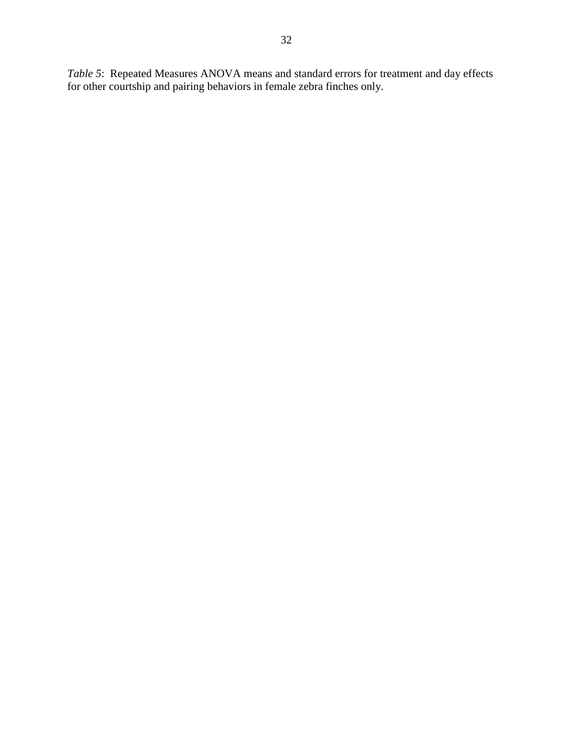*Table 5*: Repeated Measures ANOVA means and standard errors for treatment and day effects for other courtship and pairing behaviors in female zebra finches only.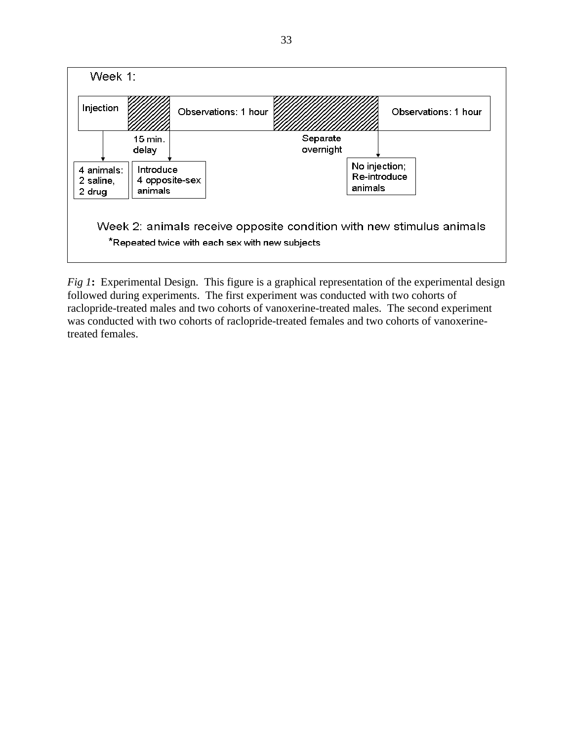

*Fig 1*: Experimental Design. This figure is a graphical representation of the experimental design followed during experiments. The first experiment was conducted with two cohorts of raclopride-treated males and two cohorts of vanoxerine-treated males. The second experiment was conducted with two cohorts of raclopride-treated females and two cohorts of vanoxerinetreated females.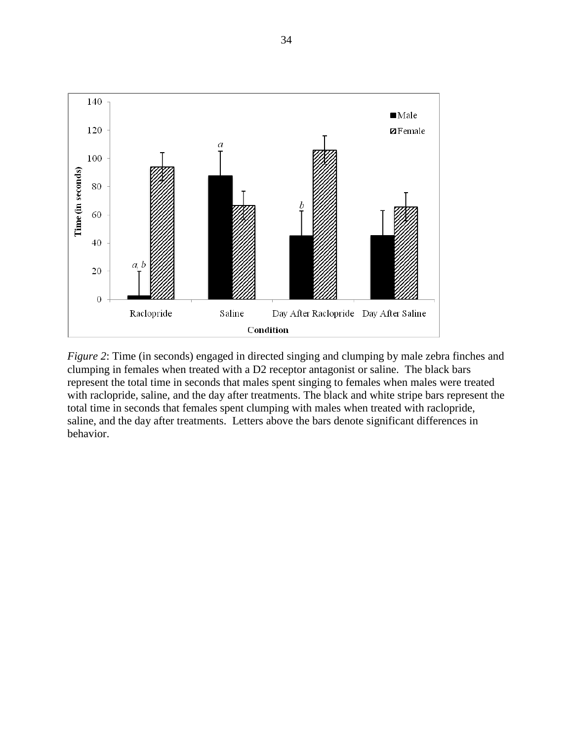

*Figure 2*: Time (in seconds) engaged in directed singing and clumping by male zebra finches and clumping in females when treated with a D2 receptor antagonist or saline. The black bars represent the total time in seconds that males spent singing to females when males were treated with raclopride, saline, and the day after treatments. The black and white stripe bars represent the total time in seconds that females spent clumping with males when treated with raclopride, saline, and the day after treatments. Letters above the bars denote significant differences in behavior.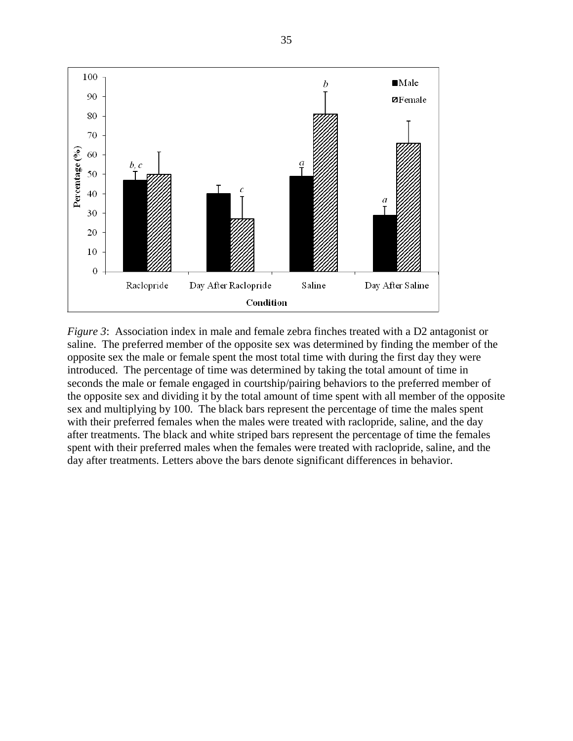

*Figure 3*: Association index in male and female zebra finches treated with a D2 antagonist or saline. The preferred member of the opposite sex was determined by finding the member of the opposite sex the male or female spent the most total time with during the first day they were introduced. The percentage of time was determined by taking the total amount of time in seconds the male or female engaged in courtship/pairing behaviors to the preferred member of the opposite sex and dividing it by the total amount of time spent with all member of the opposite sex and multiplying by 100. The black bars represent the percentage of time the males spent with their preferred females when the males were treated with raclopride, saline, and the day after treatments. The black and white striped bars represent the percentage of time the females spent with their preferred males when the females were treated with raclopride, saline, and the day after treatments. Letters above the bars denote significant differences in behavior.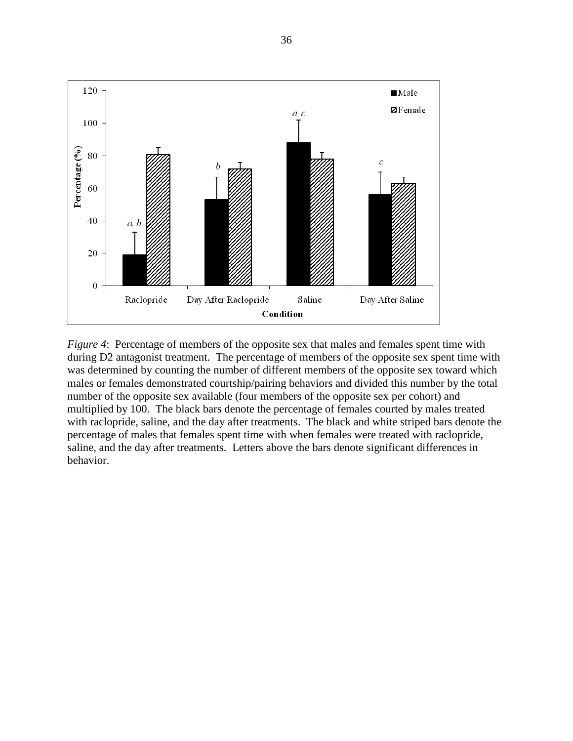

*Figure 4*: Percentage of members of the opposite sex that males and females spent time with during D2 antagonist treatment. The percentage of members of the opposite sex spent time with was determined by counting the number of different members of the opposite sex toward which males or females demonstrated courtship/pairing behaviors and divided this number by the total number of the opposite sex available (four members of the opposite sex per cohort) and multiplied by 100. The black bars denote the percentage of females courted by males treated with raclopride, saline, and the day after treatments. The black and white striped bars denote the percentage of males that females spent time with when females were treated with raclopride, saline, and the day after treatments. Letters above the bars denote significant differences in behavior.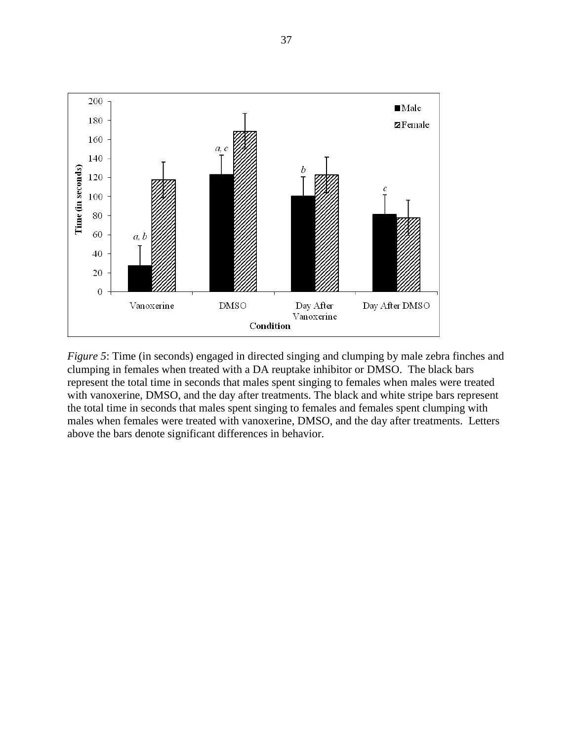

*Figure 5*: Time (in seconds) engaged in directed singing and clumping by male zebra finches and clumping in females when treated with a DA reuptake inhibitor or DMSO. The black bars represent the total time in seconds that males spent singing to females when males were treated with vanoxerine, DMSO, and the day after treatments. The black and white stripe bars represent the total time in seconds that males spent singing to females and females spent clumping with males when females were treated with vanoxerine, DMSO, and the day after treatments. Letters above the bars denote significant differences in behavior.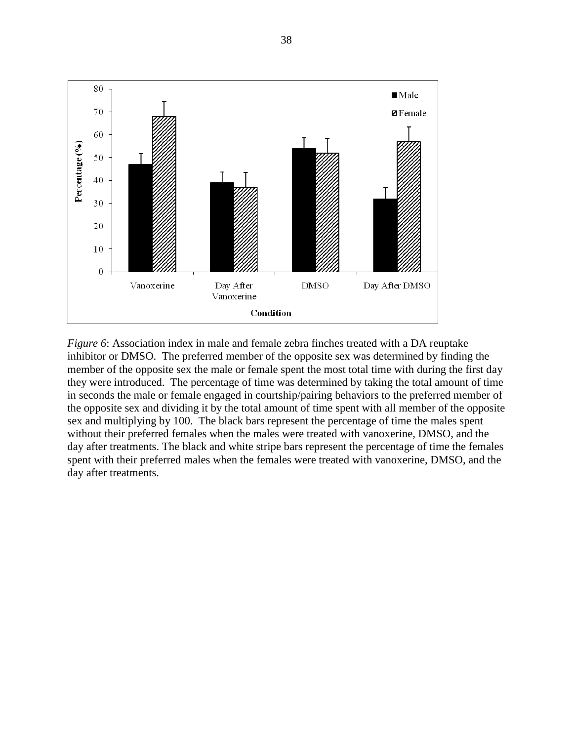

*Figure 6*: Association index in male and female zebra finches treated with a DA reuptake inhibitor or DMSO. The preferred member of the opposite sex was determined by finding the member of the opposite sex the male or female spent the most total time with during the first day they were introduced. The percentage of time was determined by taking the total amount of time in seconds the male or female engaged in courtship/pairing behaviors to the preferred member of the opposite sex and dividing it by the total amount of time spent with all member of the opposite sex and multiplying by 100. The black bars represent the percentage of time the males spent without their preferred females when the males were treated with vanoxerine, DMSO, and the day after treatments. The black and white stripe bars represent the percentage of time the females spent with their preferred males when the females were treated with vanoxerine, DMSO, and the day after treatments.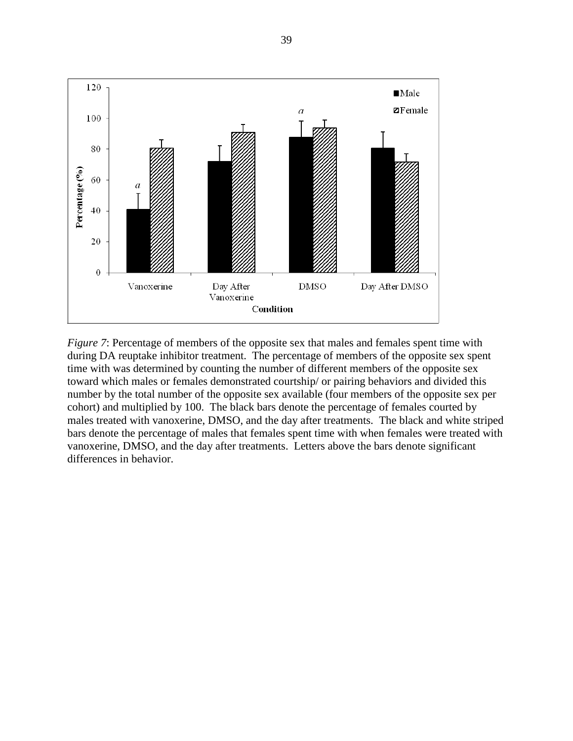

*Figure 7*: Percentage of members of the opposite sex that males and females spent time with during DA reuptake inhibitor treatment. The percentage of members of the opposite sex spent time with was determined by counting the number of different members of the opposite sex toward which males or females demonstrated courtship/ or pairing behaviors and divided this number by the total number of the opposite sex available (four members of the opposite sex per cohort) and multiplied by 100. The black bars denote the percentage of females courted by males treated with vanoxerine, DMSO, and the day after treatments. The black and white striped bars denote the percentage of males that females spent time with when females were treated with vanoxerine, DMSO, and the day after treatments. Letters above the bars denote significant differences in behavior.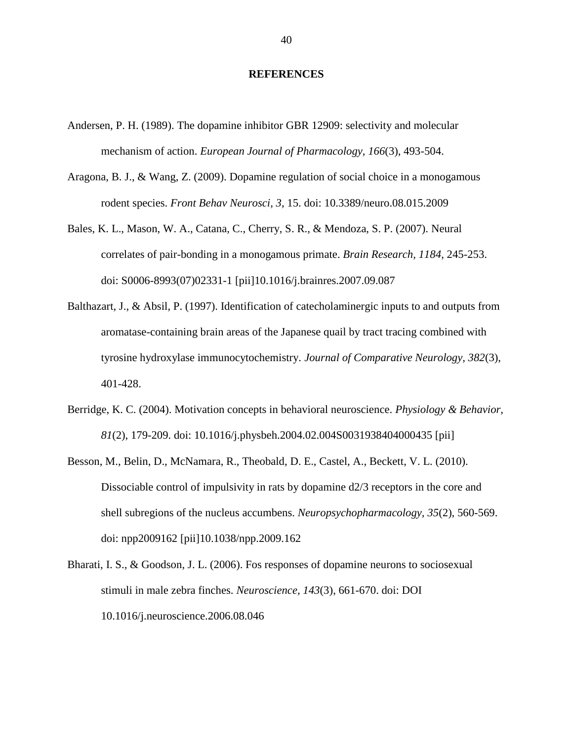#### **REFERENCES**

- Andersen, P. H. (1989). The dopamine inhibitor GBR 12909: selectivity and molecular mechanism of action. *European Journal of Pharmacology, 166*(3), 493-504.
- Aragona, B. J., & Wang, Z. (2009). Dopamine regulation of social choice in a monogamous rodent species. *Front Behav Neurosci, 3*, 15. doi: 10.3389/neuro.08.015.2009
- Bales, K. L., Mason, W. A., Catana, C., Cherry, S. R., & Mendoza, S. P. (2007). Neural correlates of pair-bonding in a monogamous primate. *Brain Research, 1184*, 245-253. doi: S0006-8993(07)02331-1 [pii]10.1016/j.brainres.2007.09.087
- Balthazart, J., & Absil, P. (1997). Identification of catecholaminergic inputs to and outputs from aromatase-containing brain areas of the Japanese quail by tract tracing combined with tyrosine hydroxylase immunocytochemistry. *Journal of Comparative Neurology, 382*(3), 401-428.
- Berridge, K. C. (2004). Motivation concepts in behavioral neuroscience. *Physiology & Behavior, 81*(2), 179-209. doi: 10.1016/j.physbeh.2004.02.004S0031938404000435 [pii]
- Besson, M., Belin, D., McNamara, R., Theobald, D. E., Castel, A., Beckett, V. L. (2010). Dissociable control of impulsivity in rats by dopamine d2/3 receptors in the core and shell subregions of the nucleus accumbens. *Neuropsychopharmacology, 35*(2), 560-569. doi: npp2009162 [pii]10.1038/npp.2009.162
- Bharati, I. S., & Goodson, J. L. (2006). Fos responses of dopamine neurons to sociosexual stimuli in male zebra finches. *Neuroscience, 143*(3), 661-670. doi: DOI 10.1016/j.neuroscience.2006.08.046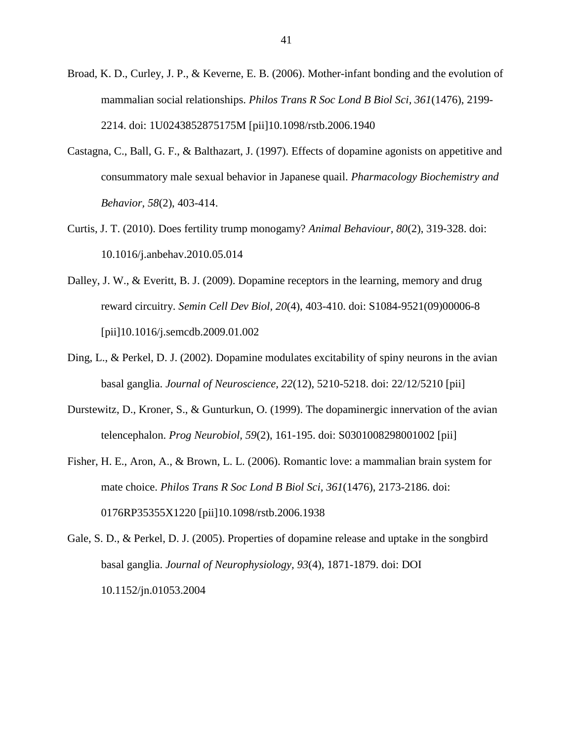- Broad, K. D., Curley, J. P., & Keverne, E. B. (2006). Mother-infant bonding and the evolution of mammalian social relationships. *Philos Trans R Soc Lond B Biol Sci, 361*(1476), 2199- 2214. doi: 1U0243852875175M [pii]10.1098/rstb.2006.1940
- Castagna, C., Ball, G. F., & Balthazart, J. (1997). Effects of dopamine agonists on appetitive and consummatory male sexual behavior in Japanese quail. *Pharmacology Biochemistry and Behavior, 58*(2), 403-414.
- Curtis, J. T. (2010). Does fertility trump monogamy? *Animal Behaviour, 80*(2), 319-328. doi: 10.1016/j.anbehav.2010.05.014
- Dalley, J. W., & Everitt, B. J. (2009). Dopamine receptors in the learning, memory and drug reward circuitry. *Semin Cell Dev Biol, 20*(4), 403-410. doi: S1084-9521(09)00006-8 [pii]10.1016/j.semcdb.2009.01.002
- Ding, L., & Perkel, D. J. (2002). Dopamine modulates excitability of spiny neurons in the avian basal ganglia. *Journal of Neuroscience, 22*(12), 5210-5218. doi: 22/12/5210 [pii]
- Durstewitz, D., Kroner, S., & Gunturkun, O. (1999). The dopaminergic innervation of the avian telencephalon. *Prog Neurobiol, 59*(2), 161-195. doi: S0301008298001002 [pii]
- Fisher, H. E., Aron, A., & Brown, L. L. (2006). Romantic love: a mammalian brain system for mate choice. *Philos Trans R Soc Lond B Biol Sci, 361*(1476), 2173-2186. doi: 0176RP35355X1220 [pii]10.1098/rstb.2006.1938
- Gale, S. D., & Perkel, D. J. (2005). Properties of dopamine release and uptake in the songbird basal ganglia. *Journal of Neurophysiology, 93*(4), 1871-1879. doi: DOI 10.1152/jn.01053.2004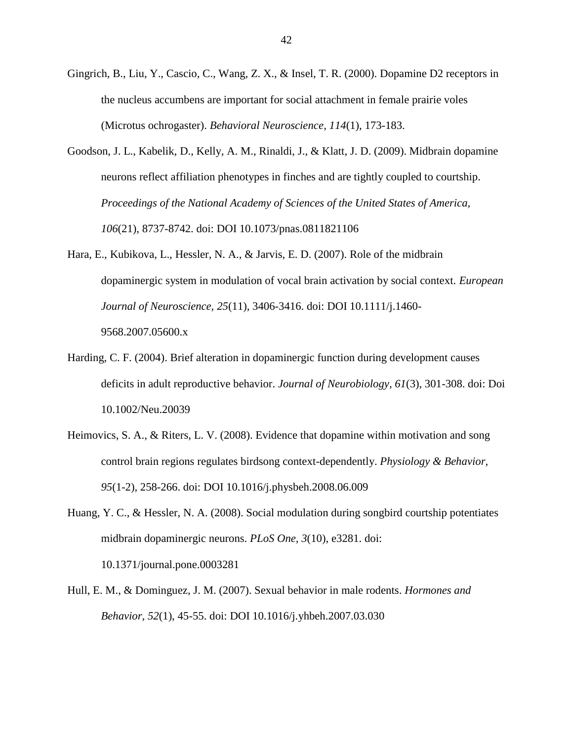- Gingrich, B., Liu, Y., Cascio, C., Wang, Z. X., & Insel, T. R. (2000). Dopamine D2 receptors in the nucleus accumbens are important for social attachment in female prairie voles (Microtus ochrogaster). *Behavioral Neuroscience, 114*(1), 173-183.
- Goodson, J. L., Kabelik, D., Kelly, A. M., Rinaldi, J., & Klatt, J. D. (2009). Midbrain dopamine neurons reflect affiliation phenotypes in finches and are tightly coupled to courtship. *Proceedings of the National Academy of Sciences of the United States of America, 106*(21), 8737-8742. doi: DOI 10.1073/pnas.0811821106
- Hara, E., Kubikova, L., Hessler, N. A., & Jarvis, E. D. (2007). Role of the midbrain dopaminergic system in modulation of vocal brain activation by social context. *European Journal of Neuroscience, 25*(11), 3406-3416. doi: DOI 10.1111/j.1460- 9568.2007.05600.x
- Harding, C. F. (2004). Brief alteration in dopaminergic function during development causes deficits in adult reproductive behavior. *Journal of Neurobiology, 61*(3), 301-308. doi: Doi 10.1002/Neu.20039
- Heimovics, S. A., & Riters, L. V. (2008). Evidence that dopamine within motivation and song control brain regions regulates birdsong context-dependently. *Physiology & Behavior, 95*(1-2), 258-266. doi: DOI 10.1016/j.physbeh.2008.06.009
- Huang, Y. C., & Hessler, N. A. (2008). Social modulation during songbird courtship potentiates midbrain dopaminergic neurons. *PLoS One, 3*(10), e3281. doi: 10.1371/journal.pone.0003281
- Hull, E. M., & Dominguez, J. M. (2007). Sexual behavior in male rodents. *Hormones and Behavior, 52*(1), 45-55. doi: DOI 10.1016/j.yhbeh.2007.03.030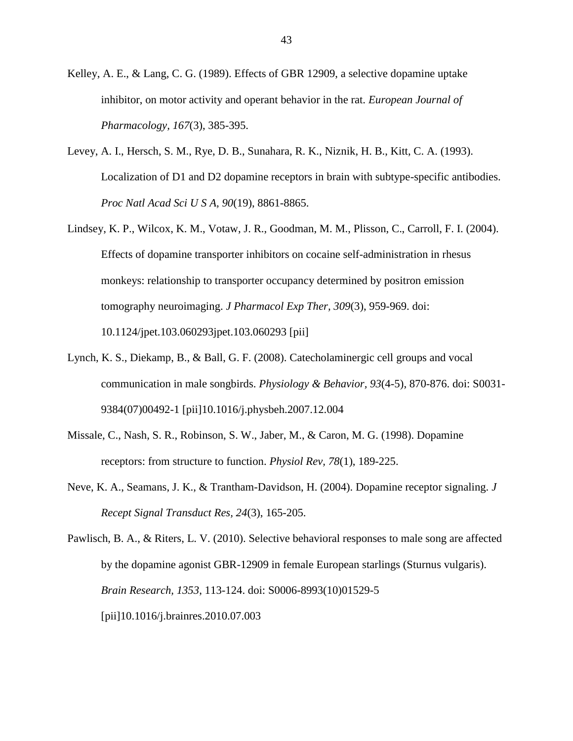Kelley, A. E., & Lang, C. G. (1989). Effects of GBR 12909, a selective dopamine uptake inhibitor, on motor activity and operant behavior in the rat. *European Journal of Pharmacology, 167*(3), 385-395.

- Levey, A. I., Hersch, S. M., Rye, D. B., Sunahara, R. K., Niznik, H. B., Kitt, C. A. (1993). Localization of D1 and D2 dopamine receptors in brain with subtype-specific antibodies. *Proc Natl Acad Sci U S A, 90*(19), 8861-8865.
- Lindsey, K. P., Wilcox, K. M., Votaw, J. R., Goodman, M. M., Plisson, C., Carroll, F. I. (2004). Effects of dopamine transporter inhibitors on cocaine self-administration in rhesus monkeys: relationship to transporter occupancy determined by positron emission tomography neuroimaging. *J Pharmacol Exp Ther, 309*(3), 959-969. doi: 10.1124/jpet.103.060293jpet.103.060293 [pii]
- Lynch, K. S., Diekamp, B., & Ball, G. F. (2008). Catecholaminergic cell groups and vocal communication in male songbirds. *Physiology & Behavior, 93*(4-5), 870-876. doi: S0031- 9384(07)00492-1 [pii]10.1016/j.physbeh.2007.12.004
- Missale, C., Nash, S. R., Robinson, S. W., Jaber, M., & Caron, M. G. (1998). Dopamine receptors: from structure to function. *Physiol Rev, 78*(1), 189-225.
- Neve, K. A., Seamans, J. K., & Trantham-Davidson, H. (2004). Dopamine receptor signaling. *J Recept Signal Transduct Res, 24*(3), 165-205.

Pawlisch, B. A., & Riters, L. V. (2010). Selective behavioral responses to male song are affected by the dopamine agonist GBR-12909 in female European starlings (Sturnus vulgaris). *Brain Research, 1353*, 113-124. doi: S0006-8993(10)01529-5 [pii]10.1016/j.brainres.2010.07.003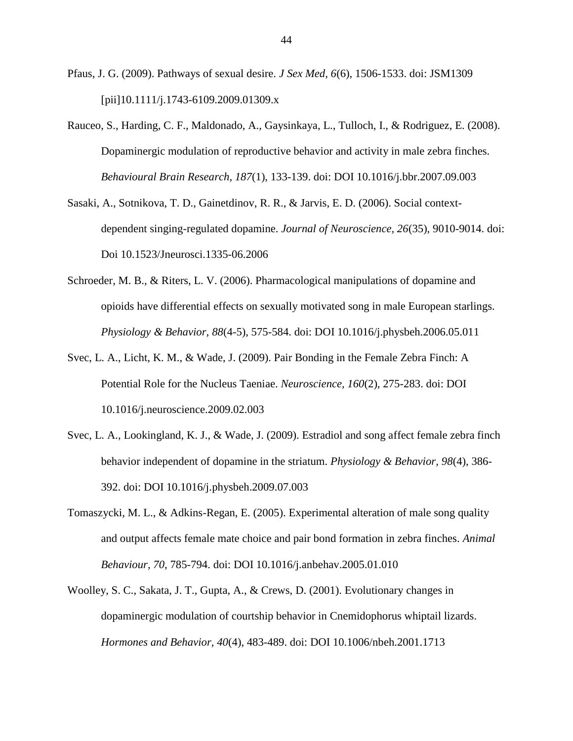- Pfaus, J. G. (2009). Pathways of sexual desire. *J Sex Med, 6*(6), 1506-1533. doi: JSM1309 [pii]10.1111/j.1743-6109.2009.01309.x
- Rauceo, S., Harding, C. F., Maldonado, A., Gaysinkaya, L., Tulloch, I., & Rodriguez, E. (2008). Dopaminergic modulation of reproductive behavior and activity in male zebra finches. *Behavioural Brain Research, 187*(1), 133-139. doi: DOI 10.1016/j.bbr.2007.09.003
- Sasaki, A., Sotnikova, T. D., Gainetdinov, R. R., & Jarvis, E. D. (2006). Social contextdependent singing-regulated dopamine. *Journal of Neuroscience, 26*(35), 9010-9014. doi: Doi 10.1523/Jneurosci.1335-06.2006
- Schroeder, M. B., & Riters, L. V. (2006). Pharmacological manipulations of dopamine and opioids have differential effects on sexually motivated song in male European starlings. *Physiology & Behavior, 88*(4-5), 575-584. doi: DOI 10.1016/j.physbeh.2006.05.011
- Svec, L. A., Licht, K. M., & Wade, J. (2009). Pair Bonding in the Female Zebra Finch: A Potential Role for the Nucleus Taeniae. *Neuroscience, 160*(2), 275-283. doi: DOI 10.1016/j.neuroscience.2009.02.003
- Svec, L. A., Lookingland, K. J., & Wade, J. (2009). Estradiol and song affect female zebra finch behavior independent of dopamine in the striatum. *Physiology & Behavior, 98*(4), 386- 392. doi: DOI 10.1016/j.physbeh.2009.07.003
- Tomaszycki, M. L., & Adkins-Regan, E. (2005). Experimental alteration of male song quality and output affects female mate choice and pair bond formation in zebra finches. *Animal Behaviour, 70*, 785-794. doi: DOI 10.1016/j.anbehav.2005.01.010
- Woolley, S. C., Sakata, J. T., Gupta, A., & Crews, D. (2001). Evolutionary changes in dopaminergic modulation of courtship behavior in Cnemidophorus whiptail lizards. *Hormones and Behavior, 40*(4), 483-489. doi: DOI 10.1006/nbeh.2001.1713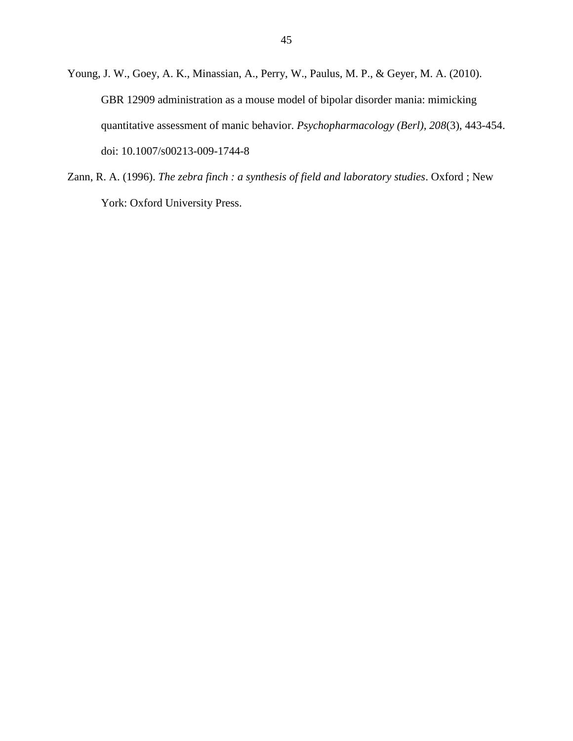- Young, J. W., Goey, A. K., Minassian, A., Perry, W., Paulus, M. P., & Geyer, M. A. (2010). GBR 12909 administration as a mouse model of bipolar disorder mania: mimicking quantitative assessment of manic behavior. *Psychopharmacology (Berl), 208*(3), 443-454. doi: 10.1007/s00213-009-1744-8
- Zann, R. A. (1996). *The zebra finch : a synthesis of field and laboratory studies*. Oxford ; New York: Oxford University Press.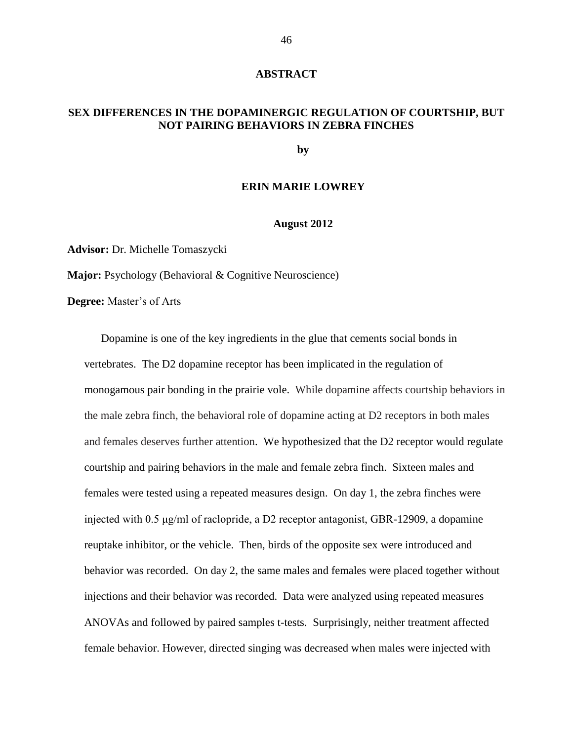#### **ABSTRACT**

# **SEX DIFFERENCES IN THE DOPAMINERGIC REGULATION OF COURTSHIP, BUT NOT PAIRING BEHAVIORS IN ZEBRA FINCHES**

**by**

#### **ERIN MARIE LOWREY**

#### **August 2012**

**Advisor:** Dr. Michelle Tomaszycki

**Major:** Psychology (Behavioral & Cognitive Neuroscience)

**Degree:** Master's of Arts

Dopamine is one of the key ingredients in the glue that cements social bonds in vertebrates. The D2 dopamine receptor has been implicated in the regulation of monogamous pair bonding in the prairie vole. While dopamine affects courtship behaviors in the male zebra finch, the behavioral role of dopamine acting at D2 receptors in both males and females deserves further attention. We hypothesized that the D2 receptor would regulate courtship and pairing behaviors in the male and female zebra finch. Sixteen males and females were tested using a repeated measures design. On day 1, the zebra finches were injected with 0.5 μg/ml of raclopride, a D2 receptor antagonist, GBR-12909, a dopamine reuptake inhibitor, or the vehicle. Then, birds of the opposite sex were introduced and behavior was recorded. On day 2, the same males and females were placed together without injections and their behavior was recorded. Data were analyzed using repeated measures ANOVAs and followed by paired samples t-tests. Surprisingly, neither treatment affected female behavior. However, directed singing was decreased when males were injected with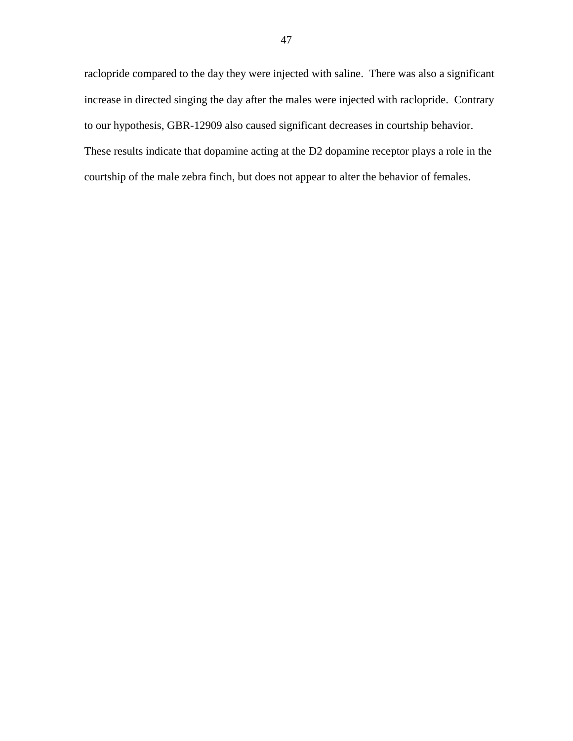raclopride compared to the day they were injected with saline. There was also a significant increase in directed singing the day after the males were injected with raclopride. Contrary to our hypothesis, GBR-12909 also caused significant decreases in courtship behavior. These results indicate that dopamine acting at the D2 dopamine receptor plays a role in the courtship of the male zebra finch, but does not appear to alter the behavior of females.